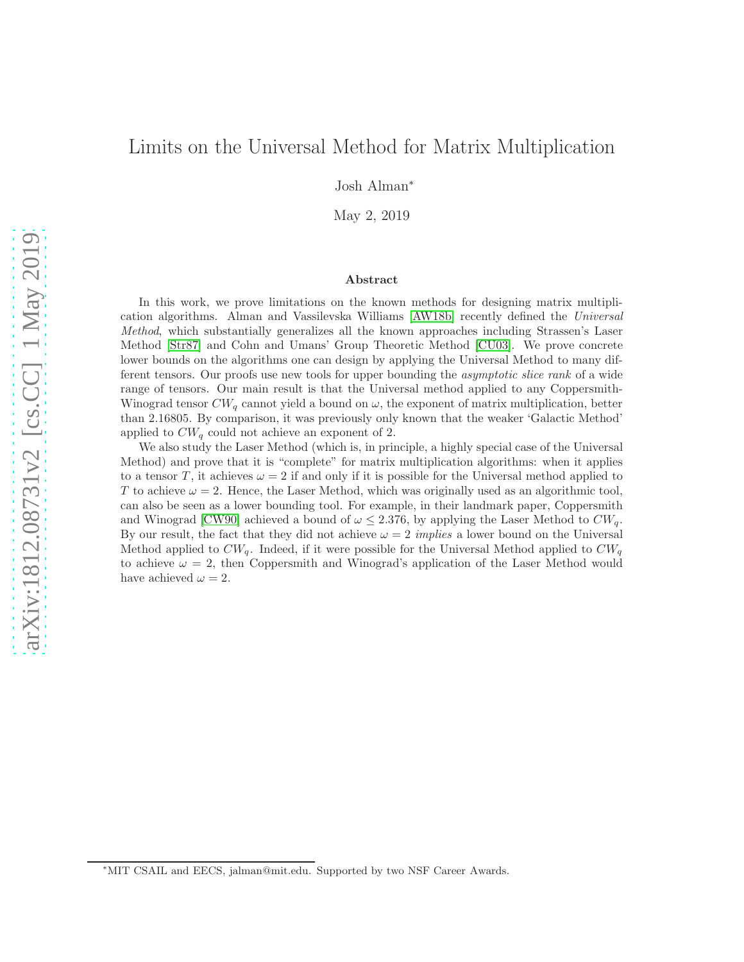# Limits on the Universal Method for Matrix Multiplication

Josh Alman<sup>∗</sup>

May 2, 2019

#### Abstract

In this work, we prove limitations on the known methods for designing matrix multiplication algorithms. Alman and Vassilevska Williams [\[AW18b\]](#page-22-0) recently defined the Universal Method, which substantially generalizes all the known approaches including Strassen's Laser Method [\[Str87\]](#page-24-0) and Cohn and Umans' Group Theoretic Method [\[CU03\]](#page-23-0). We prove concrete lower bounds on the algorithms one can design by applying the Universal Method to many different tensors. Our proofs use new tools for upper bounding the *asymptotic slice rank* of a wide range of tensors. Our main result is that the Universal method applied to any Coppersmith-Winograd tensor  $CW_q$  cannot yield a bound on  $\omega$ , the exponent of matrix multiplication, better than 2.16805. By comparison, it was previously only known that the weaker 'Galactic Method' applied to  $CW_q$  could not achieve an exponent of 2.

We also study the Laser Method (which is, in principle, a highly special case of the Universal Method) and prove that it is "complete" for matrix multiplication algorithms: when it applies to a tensor T, it achieves  $\omega = 2$  if and only if it is possible for the Universal method applied to T to achieve  $\omega = 2$ . Hence, the Laser Method, which was originally used as an algorithmic tool, can also be seen as a lower bounding tool. For example, in their landmark paper, Coppersmith and Winograd [\[CW90\]](#page-23-1) achieved a bound of  $\omega \leq 2.376$ , by applying the Laser Method to  $CW_q$ . By our result, the fact that they did not achieve  $\omega = 2$  implies a lower bound on the Universal Method applied to  $CW_q$ . Indeed, if it were possible for the Universal Method applied to  $CW_q$ . to achieve  $\omega = 2$ , then Coppersmith and Winograd's application of the Laser Method would have achieved  $\omega = 2$ .

<sup>∗</sup>MIT CSAIL and EECS, jalman@mit.edu. Supported by two NSF Career Awards.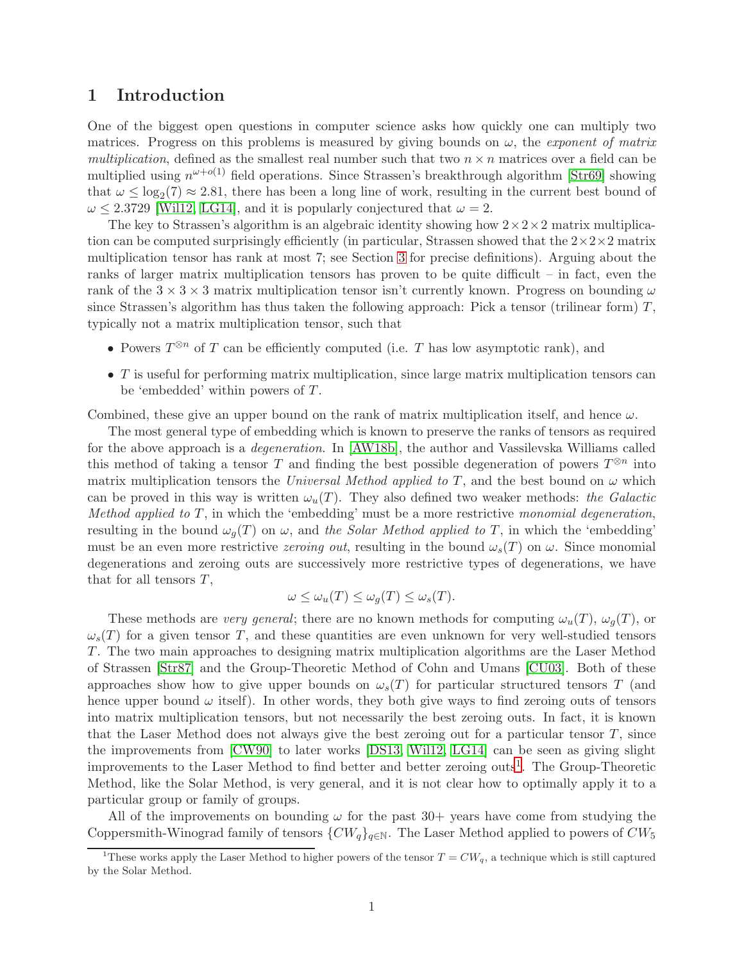# 1 Introduction

One of the biggest open questions in computer science asks how quickly one can multiply two matrices. Progress on this problems is measured by giving bounds on  $\omega$ , the *exponent of matrix* multiplication, defined as the smallest real number such that two  $n \times n$  matrices over a field can be multiplied using  $n^{\omega+o(1)}$  field operations. Since Strassen's breakthrough algorithm [\[Str69\]](#page-23-2) showing that  $\omega \leq \log_2(7) \approx 2.81$ , there has been a long line of work, resulting in the current best bound of  $\omega \leq 2.3729$  [Will2, [LG14\]](#page-23-3), and it is popularly conjectured that  $\omega = 2$ .

The key to Strassen's algorithm is an algebraic identity showing how  $2 \times 2 \times 2$  matrix multiplication can be computed surprisingly efficiently (in particular, Strassen showed that the  $2\times2\times2$  matrix multiplication tensor has rank at most 7; see Section [3](#page-7-0) for precise definitions). Arguing about the ranks of larger matrix multiplication tensors has proven to be quite difficult – in fact, even the rank of the  $3 \times 3 \times 3$  matrix multiplication tensor isn't currently known. Progress on bounding  $\omega$ since Strassen's algorithm has thus taken the following approach: Pick a tensor (trilinear form)  $T$ , typically not a matrix multiplication tensor, such that

- Powers  $T^{\otimes n}$  of T can be efficiently computed (i.e. T has low asymptotic rank), and
- $\bullet$  T is useful for performing matrix multiplication, since large matrix multiplication tensors can be 'embedded' within powers of T.

Combined, these give an upper bound on the rank of matrix multiplication itself, and hence  $\omega$ .

The most general type of embedding which is known to preserve the ranks of tensors as required for the above approach is a degeneration. In [\[AW18b\]](#page-22-0), the author and Vassilevska Williams called this method of taking a tensor T and finding the best possible degeneration of powers  $T^{\otimes n}$  into matrix multiplication tensors the Universal Method applied to T, and the best bound on  $\omega$  which can be proved in this way is written  $\omega_u(T)$ . They also defined two weaker methods: the Galactic Method applied to  $T$ , in which the 'embedding' must be a more restrictive monomial degeneration, resulting in the bound  $\omega_q(T)$  on  $\omega$ , and the Solar Method applied to T, in which the 'embedding' must be an even more restrictive *zeroing out*, resulting in the bound  $\omega_s(T)$  on  $\omega$ . Since monomial degenerations and zeroing outs are successively more restrictive types of degenerations, we have that for all tensors  $T$ ,

$$
\omega \le \omega_u(T) \le \omega_g(T) \le \omega_s(T).
$$

These methods are very general; there are no known methods for computing  $\omega_u(T)$ ,  $\omega_q(T)$ , or  $\omega_s(T)$  for a given tensor T, and these quantities are even unknown for very well-studied tensors T. The two main approaches to designing matrix multiplication algorithms are the Laser Method of Strassen [\[Str87\]](#page-24-0) and the Group-Theoretic Method of Cohn and Umans [\[CU03\]](#page-23-0). Both of these approaches show how to give upper bounds on  $\omega_s(T)$  for particular structured tensors T (and hence upper bound  $\omega$  itself). In other words, they both give ways to find zeroing outs of tensors into matrix multiplication tensors, but not necessarily the best zeroing outs. In fact, it is known that the Laser Method does not always give the best zeroing out for a particular tensor  $T$ , since the improvements from [\[CW90\]](#page-23-1) to later works [\[DS13,](#page-23-4) [Wil12,](#page-24-1) [LG14\]](#page-23-3) can be seen as giving slight improvements to the Laser Method to find better and better zeroing outs<sup>[1](#page-1-0)</sup>. The Group-Theoretic Method, like the Solar Method, is very general, and it is not clear how to optimally apply it to a particular group or family of groups.

All of the improvements on bounding  $\omega$  for the past 30+ years have come from studying the Coppersmith-Winograd family of tensors  $\{CW_q\}_{q\in\mathbb{N}}$ . The Laser Method applied to powers of  $CW_5$ 

<span id="page-1-0"></span><sup>&</sup>lt;sup>1</sup>These works apply the Laser Method to higher powers of the tensor  $T = CW_q$ , a technique which is still captured by the Solar Method.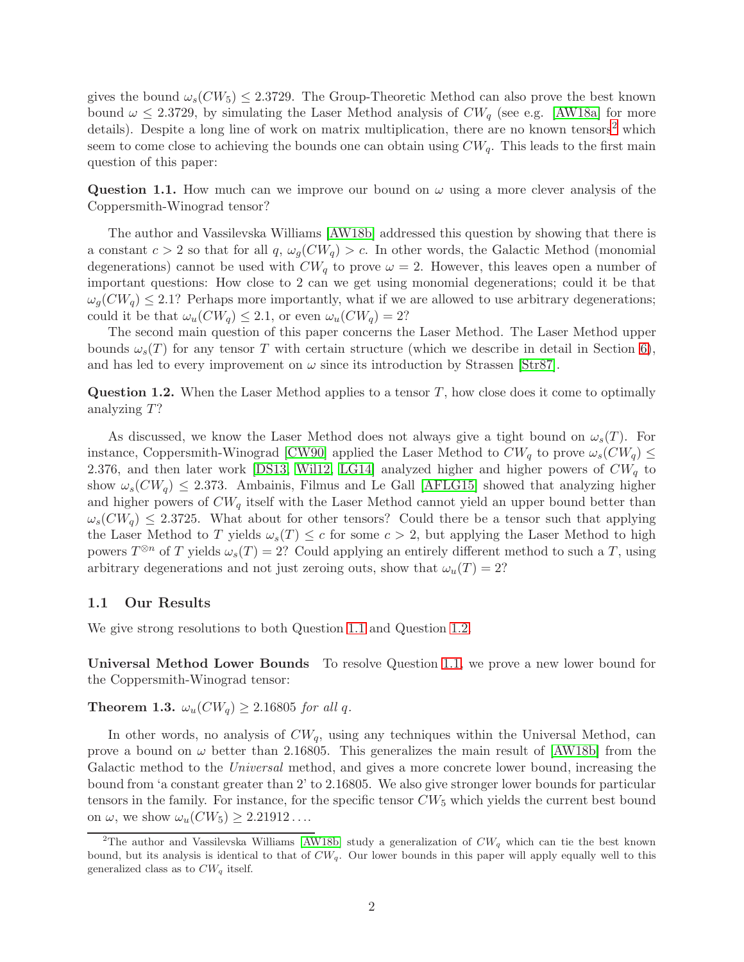gives the bound  $\omega_s$  (CW<sub>5</sub>)  $\leq$  2.3729. The Group-Theoretic Method can also prove the best known bound  $\omega \leq 2.3729$ , by simulating the Laser Method analysis of  $CW_q$  (see e.g. [\[AW18a\]](#page-22-1) for more details). Despite a long line of work on matrix multiplication, there are no known tensors<sup>[2](#page-2-0)</sup> which seem to come close to achieving the bounds one can obtain using  $CW_q$ . This leads to the first main question of this paper:

<span id="page-2-1"></span>Question 1.1. How much can we improve our bound on  $\omega$  using a more clever analysis of the Coppersmith-Winograd tensor?

The author and Vassilevska Williams [\[AW18b\]](#page-22-0) addressed this question by showing that there is a constant  $c > 2$  so that for all  $q$ ,  $\omega_q(CW_q) > c$ . In other words, the Galactic Method (monomial degenerations) cannot be used with  $CW_q$  to prove  $\omega = 2$ . However, this leaves open a number of important questions: How close to 2 can we get using monomial degenerations; could it be that  $\omega_q(CW_q) \leq 2.1$ ? Perhaps more importantly, what if we are allowed to use arbitrary degenerations; could it be that  $\omega_u(CW_q) \leq 2.1$ , or even  $\omega_u(CW_q) = 2$ ?

The second main question of this paper concerns the Laser Method. The Laser Method upper bounds  $\omega_s(T)$  for any tensor T with certain structure (which we describe in detail in Section [6\)](#page-20-0), and has led to every improvement on  $\omega$  since its introduction by Strassen [\[Str87\]](#page-24-0).

<span id="page-2-2"></span>**Question 1.2.** When the Laser Method applies to a tensor  $T$ , how close does it come to optimally analyzing T?

As discussed, we know the Laser Method does not always give a tight bound on  $\omega_s(T)$ . For instance, Coppersmith-Winograd [\[CW90\]](#page-23-1) applied the Laser Method to  $CW_q$  to prove  $\omega_s(CW_q) \leq$ 2.376, and then later work [\[DS13,](#page-23-4) [Wil12,](#page-24-1) [LG14\]](#page-23-3) analyzed higher and higher powers of  $CW_q$  to show  $\omega_s(CW_q) \leq 2.373$ . Ambainis, Filmus and Le Gall [\[AFLG15\]](#page-22-2) showed that analyzing higher and higher powers of  $CW_q$  itself with the Laser Method cannot yield an upper bound better than  $\omega_s(CW_q) \leq 2.3725$ . What about for other tensors? Could there be a tensor such that applying the Laser Method to T yields  $\omega_s(T) \leq c$  for some  $c > 2$ , but applying the Laser Method to high powers  $T^{\otimes n}$  of T yields  $\omega_s(T) = 2$ ? Could applying an entirely different method to such a T, using arbitrary degenerations and not just zeroing outs, show that  $\omega_u(T) = 2$ ?

### 1.1 Our Results

We give strong resolutions to both Question [1.1](#page-2-1) and Question [1.2.](#page-2-2)

Universal Method Lower Bounds To resolve Question [1.1,](#page-2-1) we prove a new lower bound for the Coppersmith-Winograd tensor:

<span id="page-2-3"></span>**Theorem 1.3.**  $\omega_u(CW_q) \geq 2.16805$  for all q.

In other words, no analysis of  $CW_q$ , using any techniques within the Universal Method, can prove a bound on  $\omega$  better than 2.16805. This generalizes the main result of [\[AW18b\]](#page-22-0) from the Galactic method to the *Universal* method, and gives a more concrete lower bound, increasing the bound from 'a constant greater than 2' to 2.16805. We also give stronger lower bounds for particular tensors in the family. For instance, for the specific tensor  $CW_5$  which yields the current best bound on  $\omega$ , we show  $\omega_u(CW_5) \geq 2.21912...$ 

<span id="page-2-0"></span><sup>&</sup>lt;sup>2</sup>The author and Vassilevska Williams [\[AW18b\]](#page-22-0) study a generalization of  $CW_q$  which can tie the best known bound, but its analysis is identical to that of  $CW_q$ . Our lower bounds in this paper will apply equally well to this generalized class as to  $CW_q$  itself.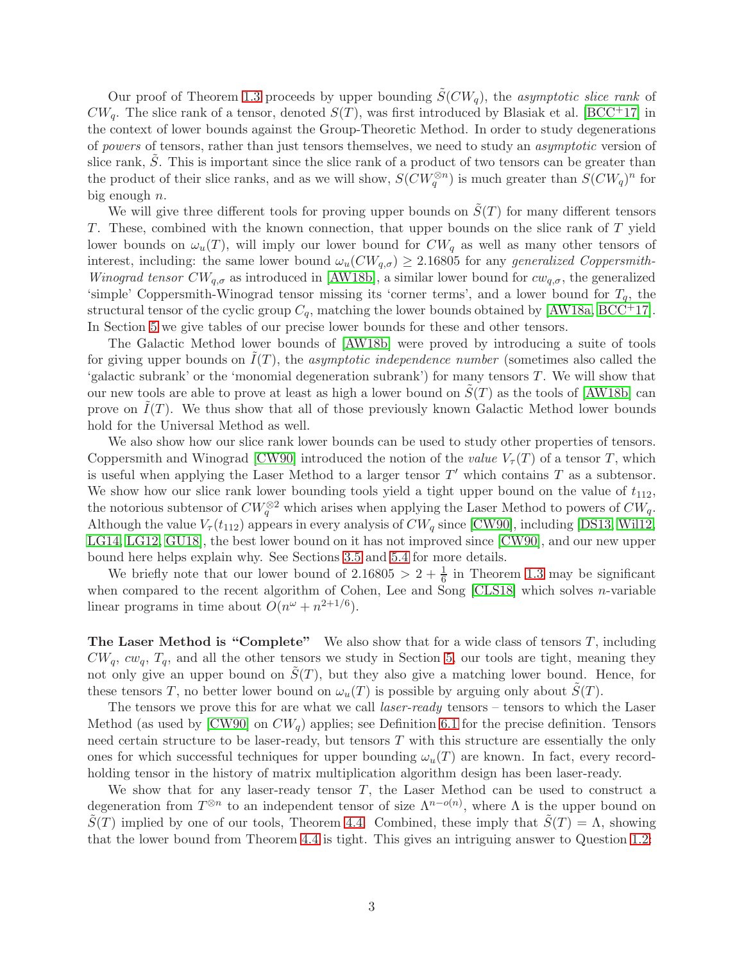Our proof of Theorem [1.3](#page-2-3) proceeds by upper bounding  $\tilde{S}(CW_q)$ , the asymptotic slice rank of  $CW_q$ . The slice rank of a tensor, denoted  $S(T)$ , was first introduced by Blasiak et al. [\[BCC](#page-22-3)+17] in the context of lower bounds against the Group-Theoretic Method. In order to study degenerations of powers of tensors, rather than just tensors themselves, we need to study an asymptotic version of slice rank,  $S$ . This is important since the slice rank of a product of two tensors can be greater than the product of their slice ranks, and as we will show,  $S(CW_q^{\otimes n})$  is much greater than  $S(CW_q)^n$  for big enough  $n$ .

We will give three different tools for proving upper bounds on  $\tilde{S}(T)$  for many different tensors T. These, combined with the known connection, that upper bounds on the slice rank of T yield lower bounds on  $\omega_u(T)$ , will imply our lower bound for  $CW_q$  as well as many other tensors of interest, including: the same lower bound  $\omega_u(CW_{q,\sigma}) \geq 2.16805$  for any generalized Coppersmith-Winograd tensor  $CW_{q,\sigma}$  as introduced in [\[AW18b\]](#page-22-0), a similar lower bound for  $cw_{q,\sigma}$ , the generalized 'simple' Coppersmith-Winograd tensor missing its 'corner terms', and a lower bound for  $T_q$ , the structural tensor of the cyclic group  $C_q$ , matching the lower bounds obtained by [\[AW18a,](#page-22-1) [BCC](#page-22-3)<sup>+</sup>17]. In Section [5](#page-16-0) we give tables of our precise lower bounds for these and other tensors.

The Galactic Method lower bounds of [\[AW18b\]](#page-22-0) were proved by introducing a suite of tools for giving upper bounds on  $I(T)$ , the *asymptotic independence number* (sometimes also called the 'galactic subrank' or the 'monomial degeneration subrank') for many tensors  $T$ . We will show that our new tools are able to prove at least as high a lower bound on  $S(T)$  as the tools of [\[AW18b\]](#page-22-0) can prove on  $I(T)$ . We thus show that all of those previously known Galactic Method lower bounds hold for the Universal Method as well.

We also show how our slice rank lower bounds can be used to study other properties of tensors. Coppersmith and Winograd [\[CW90\]](#page-23-1) introduced the notion of the value  $V_\tau(T)$  of a tensor T, which is useful when applying the Laser Method to a larger tensor  $T'$  which contains  $T$  as a subtensor. We show how our slice rank lower bounding tools yield a tight upper bound on the value of  $t_{112}$ , the notorious subtensor of  $CW_q^{\otimes 2}$  which arises when applying the Laser Method to powers of  $CW_q$ . Although the value  $V_\tau(t_{112})$  appears in every analysis of  $CW_q$  since [\[CW90\]](#page-23-1), including [\[DS13,](#page-23-4) [Wil12,](#page-24-1) [LG14,](#page-23-3) [LG12,](#page-23-5) [GU18\]](#page-23-6), the best lower bound on it has not improved since [\[CW90\]](#page-23-1), and our new upper bound here helps explain why. See Sections [3.5](#page-9-0) and [5.4](#page-19-0) for more details.

We briefly note that our lower bound of  $2.16805 > 2 + \frac{1}{6}$  in Theorem [1.3](#page-2-3) may be significant when compared to the recent algorithm of Cohen, Lee and Song [\[CLS18\]](#page-23-7) which solves *n*-variable linear programs in time about  $O(n^{\omega} + n^{2+1/6}).$ 

**The Laser Method is "Complete"** We also show that for a wide class of tensors  $T$ , including  $CW_q$ ,  $cw_q$ ,  $T_q$ , and all the other tensors we study in Section [5,](#page-16-0) our tools are tight, meaning they not only give an upper bound on  $\tilde{S}(T)$ , but they also give a matching lower bound. Hence, for these tensors T, no better lower bound on  $\omega_u(T)$  is possible by arguing only about  $S(T)$ .

The tensors we prove this for are what we call *laser-ready* tensors – tensors to which the Laser Method (as used by [\[CW90\]](#page-23-1) on  $CW_q$ ) applies; see Definition [6.1](#page-20-1) for the precise definition. Tensors need certain structure to be laser-ready, but tensors T with this structure are essentially the only ones for which successful techniques for upper bounding  $\omega_u(T)$  are known. In fact, every recordholding tensor in the history of matrix multiplication algorithm design has been laser-ready.

We show that for any laser-ready tensor  $T$ , the Laser Method can be used to construct a degeneration from  $T^{\otimes n}$  to an independent tensor of size  $\Lambda^{n-o(n)}$ , where  $\Lambda$  is the upper bound on  $\tilde{S}(T)$  implied by one of our tools, Theorem [4.4.](#page-13-0) Combined, these imply that  $\tilde{S}(T) = \Lambda$ , showing that the lower bound from Theorem [4.4](#page-13-0) is tight. This gives an intriguing answer to Question [1.2:](#page-2-2)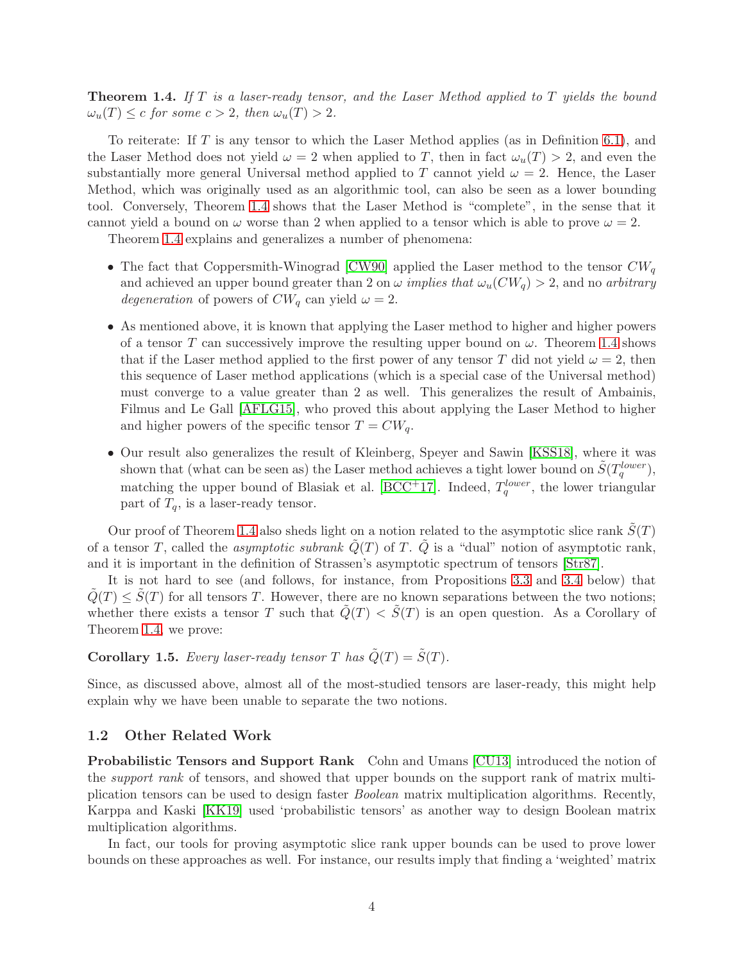<span id="page-4-0"></span>**Theorem 1.4.** If T is a laser-ready tensor, and the Laser Method applied to T yields the bound  $\omega_u(T) \leq c$  for some  $c > 2$ , then  $\omega_u(T) > 2$ .

To reiterate: If  $T$  is any tensor to which the Laser Method applies (as in Definition [6.1\)](#page-20-1), and the Laser Method does not yield  $\omega = 2$  when applied to T, then in fact  $\omega_u(T) > 2$ , and even the substantially more general Universal method applied to T cannot yield  $\omega = 2$ . Hence, the Laser Method, which was originally used as an algorithmic tool, can also be seen as a lower bounding tool. Conversely, Theorem [1.4](#page-4-0) shows that the Laser Method is "complete", in the sense that it cannot yield a bound on  $\omega$  worse than 2 when applied to a tensor which is able to prove  $\omega = 2$ .

Theorem [1.4](#page-4-0) explains and generalizes a number of phenomena:

- The fact that Coppersmith-Winograd [\[CW90\]](#page-23-1) applied the Laser method to the tensor  $CW_q$ and achieved an upper bound greater than 2 on  $\omega$  *implies that*  $\omega_u(CW_q) > 2$ , and no *arbitrary* degeneration of powers of  $CW_q$  can yield  $\omega = 2$ .
- As mentioned above, it is known that applying the Laser method to higher and higher powers of a tensor T can successively improve the resulting upper bound on  $\omega$ . Theorem [1.4](#page-4-0) shows that if the Laser method applied to the first power of any tensor T did not yield  $\omega = 2$ , then this sequence of Laser method applications (which is a special case of the Universal method) must converge to a value greater than 2 as well. This generalizes the result of Ambainis, Filmus and Le Gall [\[AFLG15\]](#page-22-2), who proved this about applying the Laser Method to higher and higher powers of the specific tensor  $T = CW_q$ .
- Our result also generalizes the result of Kleinberg, Speyer and Sawin [\[KSS18\]](#page-23-8), where it was shown that (what can be seen as) the Laser method achieves a tight lower bound on  $\tilde{S}(T_q^{lower})$ , matching the upper bound of Blasiak et al. [\[BCC](#page-22-3)<sup>+</sup>17]. Indeed,  $T_q^{lower}$ , the lower triangular part of  $T_q$ , is a laser-ready tensor.

Our proof of Theorem [1.4](#page-4-0) also sheds light on a notion related to the asymptotic slice rank  $\tilde{S}(T)$ of a tensor T, called the *asymptotic subrank*  $\tilde{Q}(T)$  of T.  $\tilde{Q}$  is a "dual" notion of asymptotic rank, and it is important in the definition of Strassen's asymptotic spectrum of tensors [\[Str87\]](#page-24-0).

It is not hard to see (and follows, for instance, from Propositions [3.3](#page-10-0) and [3.4](#page-10-1) below) that  $\tilde{Q}(T) \leq \tilde{S}(T)$  for all tensors T. However, there are no known separations between the two notions; whether there exists a tensor T such that  $\tilde{Q}(T) < \tilde{S}(T)$  is an open question. As a Corollary of Theorem [1.4,](#page-4-0) we prove:

# <span id="page-4-1"></span>**Corollary 1.5.** Every laser-ready tensor T has  $\tilde{Q}(T) = \tilde{S}(T)$ .

Since, as discussed above, almost all of the most-studied tensors are laser-ready, this might help explain why we have been unable to separate the two notions.

#### 1.2 Other Related Work

Probabilistic Tensors and Support Rank Cohn and Umans [\[CU13\]](#page-23-9) introduced the notion of the *support rank* of tensors, and showed that upper bounds on the support rank of matrix multiplication tensors can be used to design faster Boolean matrix multiplication algorithms. Recently, Karppa and Kaski [\[KK19\]](#page-23-10) used 'probabilistic tensors' as another way to design Boolean matrix multiplication algorithms.

In fact, our tools for proving asymptotic slice rank upper bounds can be used to prove lower bounds on these approaches as well. For instance, our results imply that finding a 'weighted' matrix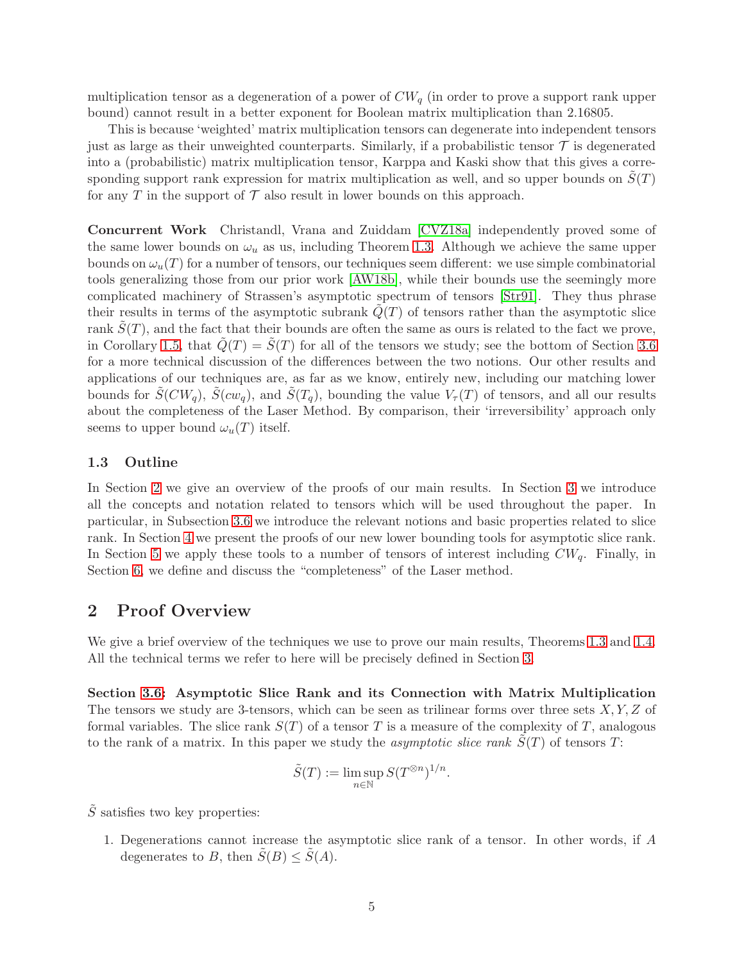multiplication tensor as a degeneration of a power of  $CW_q$  (in order to prove a support rank upper bound) cannot result in a better exponent for Boolean matrix multiplication than 2.16805.

This is because 'weighted' matrix multiplication tensors can degenerate into independent tensors just as large as their unweighted counterparts. Similarly, if a probabilistic tensor  $\mathcal T$  is degenerated into a (probabilistic) matrix multiplication tensor, Karppa and Kaski show that this gives a corresponding support rank expression for matrix multiplication as well, and so upper bounds on  $S(T)$ for any T in the support of  $\mathcal T$  also result in lower bounds on this approach.

Concurrent Work Christandl, Vrana and Zuiddam [\[CVZ18a\]](#page-23-11) independently proved some of the same lower bounds on  $\omega_u$  as us, including Theorem [1.3.](#page-2-3) Although we achieve the same upper bounds on  $\omega_u(T)$  for a number of tensors, our techniques seem different: we use simple combinatorial tools generalizing those from our prior work [\[AW18b\]](#page-22-0), while their bounds use the seemingly more complicated machinery of Strassen's asymptotic spectrum of tensors [\[Str91\]](#page-24-2). They thus phrase their results in terms of the asymptotic subrank  $Q(T)$  of tensors rather than the asymptotic slice rank  $\tilde{S}(T)$ , and the fact that their bounds are often the same as ours is related to the fact we prove, in Corollary [1.5,](#page-4-1) that  $\tilde{Q}(T) = \tilde{S}(T)$  for all of the tensors we study; see the bottom of Section [3.6](#page-9-1) for a more technical discussion of the differences between the two notions. Our other results and applications of our techniques are, as far as we know, entirely new, including our matching lower bounds for  $\tilde{S}(CW_a)$ ,  $\tilde{S}(cw_a)$ , and  $\tilde{S}(T_a)$ , bounding the value  $V_\tau(T)$  of tensors, and all our results about the completeness of the Laser Method. By comparison, their 'irreversibility' approach only seems to upper bound  $\omega_u(T)$  itself.

### 1.3 Outline

In Section [2](#page-5-0) we give an overview of the proofs of our main results. In Section [3](#page-7-0) we introduce all the concepts and notation related to tensors which will be used throughout the paper. In particular, in Subsection [3.6](#page-9-1) we introduce the relevant notions and basic properties related to slice rank. In Section [4](#page-12-0) we present the proofs of our new lower bounding tools for asymptotic slice rank. In Section [5](#page-16-0) we apply these tools to a number of tensors of interest including  $CW_q$ . Finally, in Section [6,](#page-20-0) we define and discuss the "completeness" of the Laser method.

# <span id="page-5-0"></span>2 Proof Overview

We give a brief overview of the techniques we use to prove our main results, Theorems [1.3](#page-2-3) and [1.4.](#page-4-0) All the technical terms we refer to here will be precisely defined in Section [3.](#page-7-0)

Section [3.6:](#page-9-1) Asymptotic Slice Rank and its Connection with Matrix Multiplication The tensors we study are 3-tensors, which can be seen as trilinear forms over three sets  $X, Y, Z$  of formal variables. The slice rank  $S(T)$  of a tensor T is a measure of the complexity of T, analogous to the rank of a matrix. In this paper we study the *asymptotic slice rank*  $S(T)$  of tensors  $T$ :

$$
\tilde{S}(T) := \limsup_{n \in \mathbb{N}} S(T^{\otimes n})^{1/n}.
$$

 $\tilde{S}$  satisfies two key properties:

1. Degenerations cannot increase the asymptotic slice rank of a tensor. In other words, if A degenerates to B, then  $\tilde{S}(B) \leq \tilde{S}(A)$ .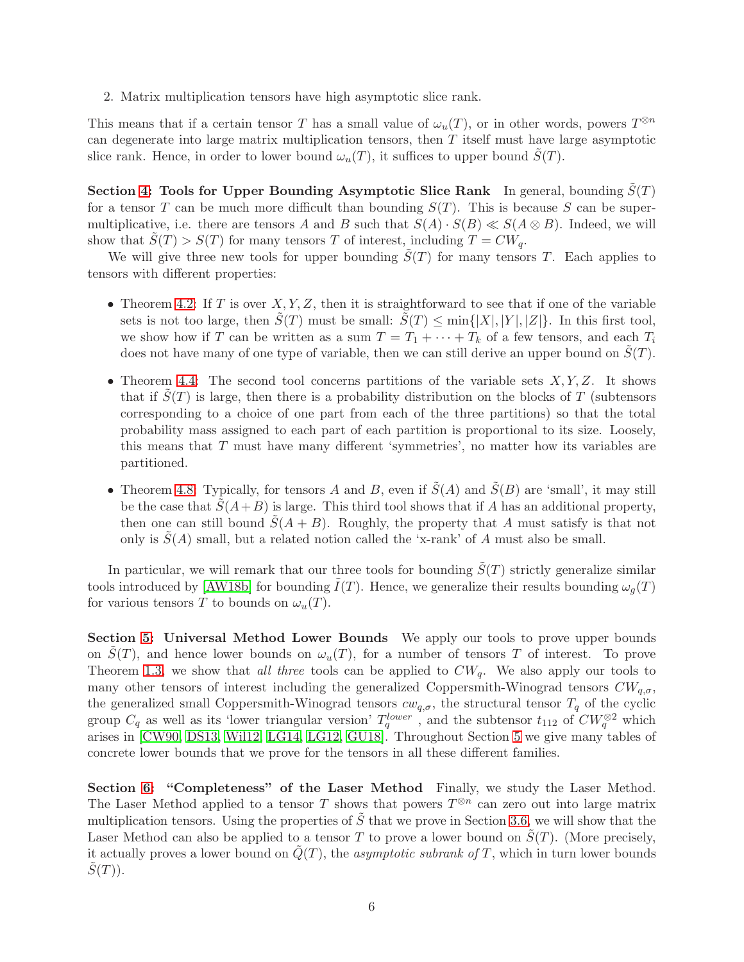2. Matrix multiplication tensors have high asymptotic slice rank.

This means that if a certain tensor T has a small value of  $\omega_u(T)$ , or in other words, powers  $T^{\otimes n}$ can degenerate into large matrix multiplication tensors, then  $T$  itself must have large asymptotic slice rank. Hence, in order to lower bound  $\omega_u(T)$ , it suffices to upper bound  $S(T)$ .

Section [4:](#page-12-0) Tools for Upper Bounding Asymptotic Slice Rank In general, bounding  $\tilde{S}(T)$ for a tensor T can be much more difficult than bounding  $S(T)$ . This is because S can be supermultiplicative, i.e. there are tensors A and B such that  $S(A) \cdot S(B) \ll S(A \otimes B)$ . Indeed, we will show that  $\tilde{S}(T) > S(T)$  for many tensors T of interest, including  $T = CW_q$ .

We will give three new tools for upper bounding  $S(T)$  for many tensors T. Each applies to tensors with different properties:

- Theorem [4.2:](#page-13-1) If T is over  $X, Y, Z$ , then it is straightforward to see that if one of the variable sets is not too large, then  $\tilde{S}(T)$  must be small:  $\tilde{S}(T) \le \min\{|X|, |Y|, |Z|\}$ . In this first tool, we show how if T can be written as a sum  $T = T_1 + \cdots + T_k$  of a few tensors, and each  $T_i$ does not have many of one type of variable, then we can still derive an upper bound on  $S(T)$ .
- Theorem [4.4:](#page-13-0) The second tool concerns partitions of the variable sets  $X, Y, Z$ . It shows that if  $\tilde{S}(T)$  is large, then there is a probability distribution on the blocks of T (subtensors corresponding to a choice of one part from each of the three partitions) so that the total probability mass assigned to each part of each partition is proportional to its size. Loosely, this means that  $T$  must have many different 'symmetries', no matter how its variables are partitioned.
- Theorem [4.8:](#page-15-0) Typically, for tensors A and B, even if  $\tilde{S}(A)$  and  $\tilde{S}(B)$  are 'small', it may still be the case that  $\tilde{S}(A+B)$  is large. This third tool shows that if A has an additional property, then one can still bound  $\tilde{S}(A + B)$ . Roughly, the property that A must satisfy is that not only is  $S(A)$  small, but a related notion called the 'x-rank' of A must also be small.

In particular, we will remark that our three tools for bounding  $S(T)$  strictly generalize similar tools introduced by [\[AW18b\]](#page-22-0) for bounding  $\tilde{I}(T)$ . Hence, we generalize their results bounding  $\omega_g(T)$ for various tensors T to bounds on  $\omega_u(T)$ .

Section [5:](#page-16-0) Universal Method Lower Bounds We apply our tools to prove upper bounds on  $S(T)$ , and hence lower bounds on  $\omega_u(T)$ , for a number of tensors T of interest. To prove Theorem [1.3,](#page-2-3) we show that all three tools can be applied to  $CW_q$ . We also apply our tools to many other tensors of interest including the generalized Coppersmith-Winograd tensors  $CW_{q,\sigma}$ , the generalized small Coppersmith-Winograd tensors  $cw_{q,\sigma}$ , the structural tensor  $T_q$  of the cyclic group  $C_q$  as well as its 'lower triangular version'  $T_q^{lower}$ , and the subtensor  $t_{112}$  of  $CW_q^{\otimes 2}$  which arises in [\[CW90,](#page-23-1) [DS13,](#page-23-4) [Wil12,](#page-24-1) [LG14,](#page-23-3) [LG12,](#page-23-5) [GU18\]](#page-23-6). Throughout Section [5](#page-16-0) we give many tables of concrete lower bounds that we prove for the tensors in all these different families.

Section [6:](#page-20-0) "Completeness" of the Laser Method Finally, we study the Laser Method. The Laser Method applied to a tensor T shows that powers  $T^{\otimes n}$  can zero out into large matrix multiplication tensors. Using the properties of  $\tilde{S}$  that we prove in Section [3.6,](#page-9-1) we will show that the Laser Method can also be applied to a tensor T to prove a lower bound on  $S(T)$ . (More precisely, it actually proves a lower bound on  $Q(T)$ , the *asymptotic subrank of T*, which in turn lower bounds  $S(T)$ ).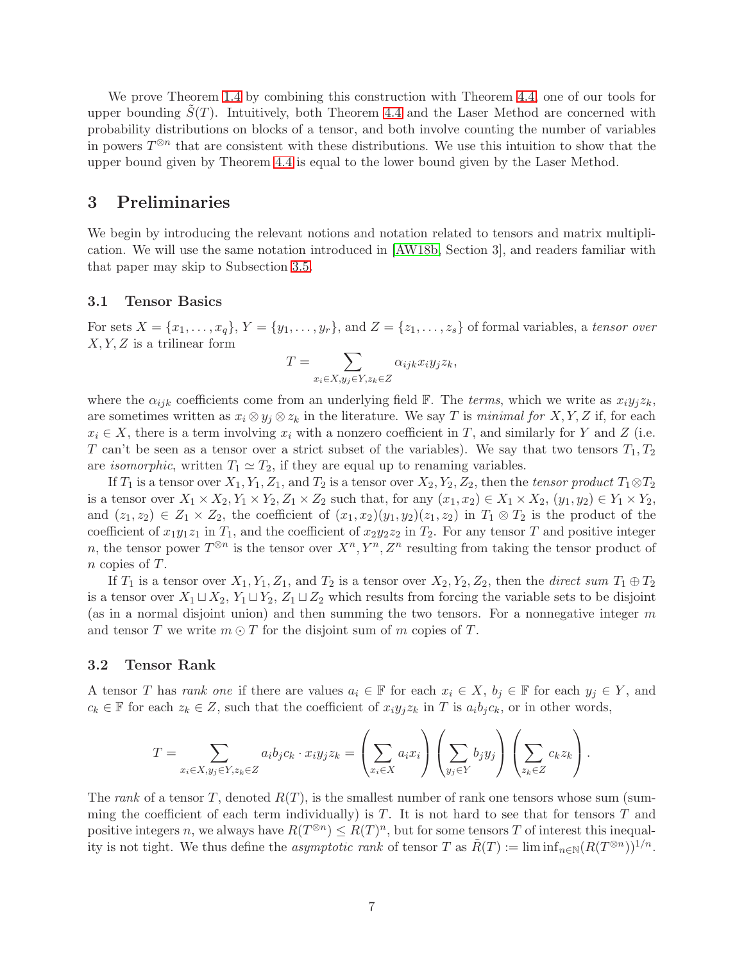We prove Theorem [1.4](#page-4-0) by combining this construction with Theorem [4.4,](#page-13-0) one of our tools for upper bounding  $S(T)$ . Intuitively, both Theorem [4.4](#page-13-0) and the Laser Method are concerned with probability distributions on blocks of a tensor, and both involve counting the number of variables in powers  $T^{\otimes n}$  that are consistent with these distributions. We use this intuition to show that the upper bound given by Theorem [4.4](#page-13-0) is equal to the lower bound given by the Laser Method.

### <span id="page-7-0"></span>3 Preliminaries

We begin by introducing the relevant notions and notation related to tensors and matrix multiplication. We will use the same notation introduced in [\[AW18b,](#page-22-0) Section 3], and readers familiar with that paper may skip to Subsection [3.5.](#page-9-0)

#### 3.1 Tensor Basics

For sets  $X = \{x_1, \ldots, x_q\}, Y = \{y_1, \ldots, y_r\}, \text{ and } Z = \{z_1, \ldots, z_s\}$  of formal variables, a tensor over  $X, Y, Z$  is a trilinear form

$$
T = \sum_{x_i \in X, y_j \in Y, z_k \in Z} \alpha_{ijk} x_i y_j z_k,
$$

where the  $\alpha_{ijk}$  coefficients come from an underlying field F. The terms, which we write as  $x_iy_jz_k$ , are sometimes written as  $x_i \otimes y_j \otimes z_k$  in the literature. We say T is minimal for X, Y, Z if, for each  $x_i \in X$ , there is a term involving  $x_i$  with a nonzero coefficient in T, and similarly for Y and Z (i.e. T can't be seen as a tensor over a strict subset of the variables). We say that two tensors  $T_1, T_2$ are *isomorphic*, written  $T_1 \simeq T_2$ , if they are equal up to renaming variables.

If  $T_1$  is a tensor over  $X_1, Y_1, Z_1$ , and  $T_2$  is a tensor over  $X_2, Y_2, Z_2$ , then the tensor product  $T_1 \otimes T_2$ is a tensor over  $X_1 \times X_2, Y_1 \times Y_2, Z_1 \times Z_2$  such that, for any  $(x_1, x_2) \in X_1 \times X_2, (y_1, y_2) \in Y_1 \times Y_2$ , and  $(z_1, z_2) \in Z_1 \times Z_2$ , the coefficient of  $(x_1, x_2)(y_1, y_2)(z_1, z_2)$  in  $T_1 \otimes T_2$  is the product of the coefficient of  $x_1y_1z_1$  in  $T_1$ , and the coefficient of  $x_2y_2z_2$  in  $T_2$ . For any tensor T and positive integer n, the tensor power  $T^{\otimes n}$  is the tensor over  $X^n, Y^n, Z^n$  resulting from taking the tensor product of n copies of T.

If  $T_1$  is a tensor over  $X_1, Y_1, Z_1$ , and  $T_2$  is a tensor over  $X_2, Y_2, Z_2$ , then the *direct sum*  $T_1 \oplus T_2$ is a tensor over  $X_1 \sqcup X_2$ ,  $Y_1 \sqcup Y_2$ ,  $Z_1 \sqcup Z_2$  which results from forcing the variable sets to be disjoint (as in a normal disjoint union) and then summing the two tensors. For a nonnegative integer  $m$ and tensor T we write  $m \odot T$  for the disjoint sum of m copies of T.

#### 3.2 Tensor Rank

A tensor T has rank one if there are values  $a_i \in \mathbb{F}$  for each  $x_i \in X$ ,  $b_j \in \mathbb{F}$  for each  $y_j \in Y$ , and  $c_k \in \mathbb{F}$  for each  $z_k \in Z$ , such that the coefficient of  $x_i y_j z_k$  in T is  $a_i b_j c_k$ , or in other words,

$$
T = \sum_{x_i \in X, y_j \in Y, z_k \in Z} a_i b_j c_k \cdot x_i y_j z_k = \left(\sum_{x_i \in X} a_i x_i\right) \left(\sum_{y_j \in Y} b_j y_j\right) \left(\sum_{z_k \in Z} c_k z_k\right).
$$

The rank of a tensor T, denoted  $R(T)$ , is the smallest number of rank one tensors whose sum (summing the coefficient of each term individually) is  $T$ . It is not hard to see that for tensors  $T$  and positive integers n, we always have  $R(T^{\otimes n}) \leq R(T)^n$ , but for some tensors T of interest this inequality is not tight. We thus define the asymptotic rank of tensor T as  $\tilde{R}(T) := \liminf_{n \in \mathbb{N}} (R(T^{\otimes n}))^{1/n}$ .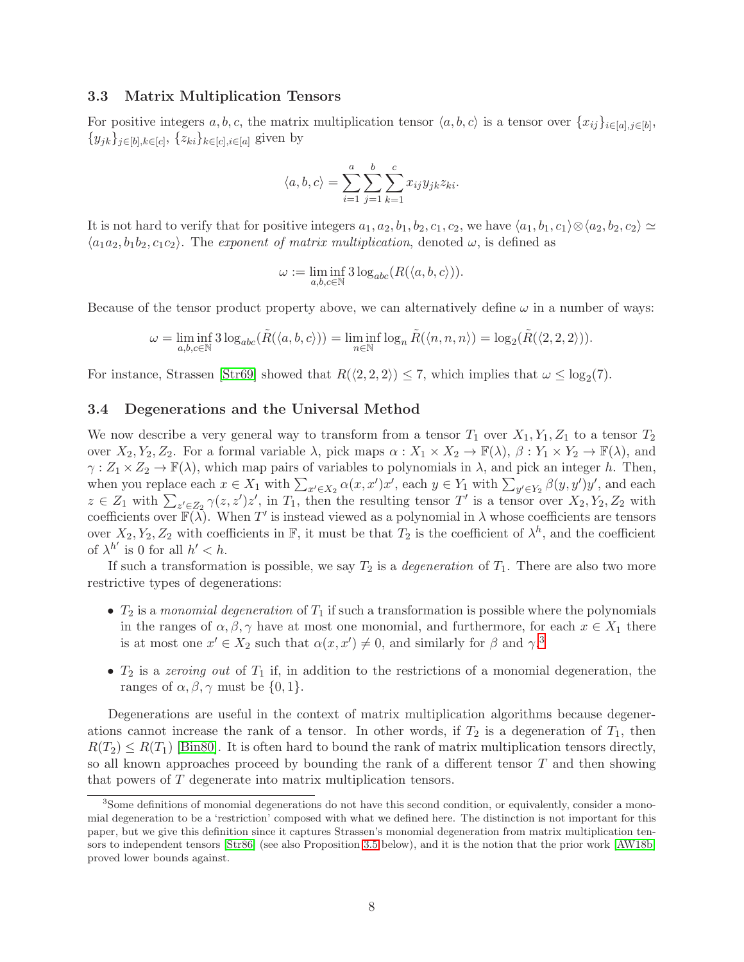### 3.3 Matrix Multiplication Tensors

For positive integers  $a, b, c$ , the matrix multiplication tensor  $\langle a, b, c \rangle$  is a tensor over  $\{x_{ij}\}_{i \in [a], j \in [b]}$ ,  $\{y_{jk}\}_{j\in[b],k\in[c]},\{z_{ki}\}_{k\in[c],i\in[a]}$  given by

$$
\langle a, b, c \rangle = \sum_{i=1}^{a} \sum_{j=1}^{b} \sum_{k=1}^{c} x_{ij} y_{jk} z_{ki}.
$$

It is not hard to verify that for positive integers  $a_1, a_2, b_1, b_2, c_1, c_2$ , we have  $\langle a_1, b_1, c_1 \rangle \otimes \langle a_2, b_2, c_2 \rangle \simeq$  $\langle a_1a_2, b_1b_2, c_1c_2 \rangle$ . The exponent of matrix multiplication, denoted  $\omega$ , is defined as

$$
\omega := \liminf_{a,b,c \in \mathbb{N}} 3 \log_{abc} (R(\langle a,b,c \rangle)).
$$

Because of the tensor product property above, we can alternatively define  $\omega$  in a number of ways:

$$
\omega = \liminf_{a,b,c \in \mathbb{N}} 3 \log_{abc} (\tilde{R}(\langle a,b,c \rangle)) = \liminf_{n \in \mathbb{N}} \log_n \tilde{R}(\langle n,n,n \rangle) = \log_2 (\tilde{R}(\langle 2,2,2 \rangle)).
$$

For instance, Strassen [\[Str69\]](#page-23-2) showed that  $R(\langle 2, 2, 2 \rangle) \leq 7$ , which implies that  $\omega \leq \log_2(7)$ .

### 3.4 Degenerations and the Universal Method

We now describe a very general way to transform from a tensor  $T_1$  over  $X_1, Y_1, Z_1$  to a tensor  $T_2$ over  $X_2, Y_2, Z_2$ . For a formal variable  $\lambda$ , pick maps  $\alpha: X_1 \times X_2 \to \mathbb{F}(\lambda)$ ,  $\beta: Y_1 \times Y_2 \to \mathbb{F}(\lambda)$ , and  $\gamma: Z_1 \times Z_2 \to \mathbb{F}(\lambda)$ , which map pairs of variables to polynomials in  $\lambda$ , and pick an integer h. Then, when you replace each  $x \in X_1$  with  $\sum_{x' \in X_2} \alpha(x, x')x'$ , each  $y \in Y_1$  with  $\sum_{y' \in Y_2} \beta(y, y')y'$ , and each  $z \in Z_1$  with  $\sum_{z' \in Z_2} \gamma(z, z')z'$ , in  $T_1$ , then the resulting tensor T' is a tensor over  $X_2, Y_2, Z_2$  with coefficients over  $\mathbb{F}(\lambda)$ . When T' is instead viewed as a polynomial in  $\lambda$  whose coefficients are tensors over  $X_2, Y_2, Z_2$  with coefficients in  $\mathbb{F}$ , it must be that  $T_2$  is the coefficient of  $\lambda^h$ , and the coefficient of  $\lambda^{h'}$  is 0 for all  $h' < h$ .

If such a transformation is possible, we say  $T_2$  is a *degeneration* of  $T_1$ . There are also two more restrictive types of degenerations:

- $T_2$  is a monomial degeneration of  $T_1$  if such a transformation is possible where the polynomials in the ranges of  $\alpha, \beta, \gamma$  have at most one monomial, and furthermore, for each  $x \in X_1$  there is at most one  $x' \in X_2$  such that  $\alpha(x, x') \neq 0$ , and similarly for  $\beta$  and  $\gamma$ .<sup>[3](#page-8-0)</sup>
- $T_2$  is a zeroing out of  $T_1$  if, in addition to the restrictions of a monomial degeneration, the ranges of  $\alpha, \beta, \gamma$  must be  $\{0, 1\}.$

Degenerations are useful in the context of matrix multiplication algorithms because degenerations cannot increase the rank of a tensor. In other words, if  $T_2$  is a degeneration of  $T_1$ , then  $R(T_2) \leq R(T_1)$  [\[Bin80\]](#page-23-12). It is often hard to bound the rank of matrix multiplication tensors directly, so all known approaches proceed by bounding the rank of a different tensor  $T$  and then showing that powers of T degenerate into matrix multiplication tensors.

<span id="page-8-0"></span><sup>3</sup> Some definitions of monomial degenerations do not have this second condition, or equivalently, consider a monomial degeneration to be a 'restriction' composed with what we defined here. The distinction is not important for this paper, but we give this definition since it captures Strassen's monomial degeneration from matrix multiplication tensors to independent tensors [\[Str86\]](#page-24-3) (see also Proposition [3.5](#page-10-2) below), and it is the notion that the prior work [\[AW18b\]](#page-22-0) proved lower bounds against.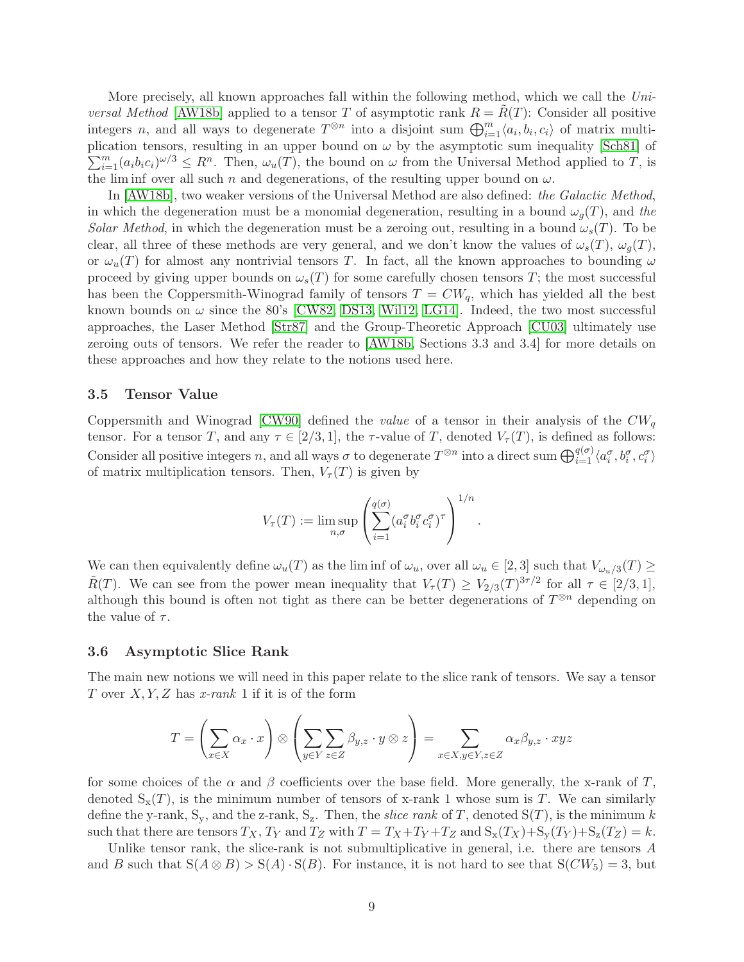More precisely, all known approaches fall within the following method, which we call the Uni*versal Method* [\[AW18b\]](#page-22-0) applied to a tensor T of asymptotic rank  $R = R(T)$ : Consider all positive integers n, and all ways to degenerate  $T^{\otimes n}$  into a disjoint sum  $\bigoplus_{i=1}^{m} \langle a_i, b_i, c_i \rangle$  of matrix multiplication tensors, resulting in an upper bound on  $\omega$  by the asymptotic sum inequality [\[Sch81\]](#page-23-13) of  $\sum_{i=1}^{m} (a_i b_i c_i)^{\omega/3} \leq R^n$ . Then,  $\omega_u(T)$ , the bound on  $\omega$  from the Universal Method applied to T, is the lim inf over all such n and degenerations, of the resulting upper bound on  $\omega$ .

In [\[AW18b\]](#page-22-0), two weaker versions of the Universal Method are also defined: the Galactic Method, in which the degeneration must be a monomial degeneration, resulting in a bound  $\omega_q(T)$ , and the Solar Method, in which the degeneration must be a zeroing out, resulting in a bound  $\omega_s(T)$ . To be clear, all three of these methods are very general, and we don't know the values of  $\omega_s(T)$ ,  $\omega_q(T)$ , or  $\omega_u(T)$  for almost any nontrivial tensors T. In fact, all the known approaches to bounding  $\omega$ proceed by giving upper bounds on  $\omega_s(T)$  for some carefully chosen tensors T; the most successful has been the Coppersmith-Winograd family of tensors  $T = CW_q$ , which has yielded all the best known bounds on  $\omega$  since the 80's [\[CW82,](#page-23-14) [DS13,](#page-23-4) [Wil12,](#page-24-1) [LG14\]](#page-23-3). Indeed, the two most successful approaches, the Laser Method [\[Str87\]](#page-24-0) and the Group-Theoretic Approach [\[CU03\]](#page-23-0) ultimately use zeroing outs of tensors. We refer the reader to [\[AW18b,](#page-22-0) Sections 3.3 and 3.4] for more details on these approaches and how they relate to the notions used here.

#### <span id="page-9-0"></span>3.5 Tensor Value

Coppersmith and Winograd [\[CW90\]](#page-23-1) defined the *value* of a tensor in their analysis of the  $CW_q$ tensor. For a tensor T, and any  $\tau \in [2/3, 1]$ , the  $\tau$ -value of T, denoted  $V_{\tau}(T)$ , is defined as follows: Consider all positive integers n, and all ways  $\sigma$  to degenerate  $T^{\otimes n}$  into a direct sum  $\bigoplus_{i=1}^{q(\sigma)} \langle a_i^{\sigma}, b_i^{\sigma}, c_i^{\sigma} \rangle$ of matrix multiplication tensors. Then,  $V_\tau(T)$  is given by

$$
V_{\tau}(T) := \limsup_{n,\sigma} \left( \sum_{i=1}^{q(\sigma)} (a_i^{\sigma} b_i^{\sigma} c_i^{\sigma})^{\tau} \right)^{1/n}.
$$

We can then equivalently define  $\omega_u(T)$  as the liminf of  $\omega_u$ , over all  $\omega_u \in [2,3]$  such that  $V_{\omega_u/3}(T) \ge$  $\tilde{R}(T)$ . We can see from the power mean inequality that  $V_{\tau}(T) \geq V_{2/3}(T)^{3\tau/2}$  for all  $\tau \in [2/3, 1]$ , although this bound is often not tight as there can be better degenerations of  $T^{\otimes n}$  depending on the value of  $\tau$ .

#### <span id="page-9-1"></span>3.6 Asymptotic Slice Rank

The main new notions we will need in this paper relate to the slice rank of tensors. We say a tensor T over  $X, Y, Z$  has x-rank 1 if it is of the form

$$
T = \left(\sum_{x \in X} \alpha_x \cdot x\right) \otimes \left(\sum_{y \in Y} \sum_{z \in Z} \beta_{y,z} \cdot y \otimes z\right) = \sum_{x \in X, y \in Y, z \in Z} \alpha_x \beta_{y,z} \cdot xyz
$$

for some choices of the  $\alpha$  and  $\beta$  coefficients over the base field. More generally, the x-rank of T, denoted  $S_x(T)$ , is the minimum number of tensors of x-rank 1 whose sum is T. We can similarly define the y-rank,  $S_y$ , and the z-rank,  $S_z$ . Then, the *slice rank* of T, denoted  $S(T)$ , is the minimum k such that there are tensors  $T_X$ ,  $T_Y$  and  $T_Z$  with  $T = T_X + T_Y + T_Z$  and  $S_x(T_X) + S_y(T_Y) + S_z(T_Z) = k$ .

Unlike tensor rank, the slice-rank is not submultiplicative in general, i.e. there are tensors A and B such that  $S(A \otimes B) > S(A) \cdot S(B)$ . For instance, it is not hard to see that  $S(CW_5) = 3$ , but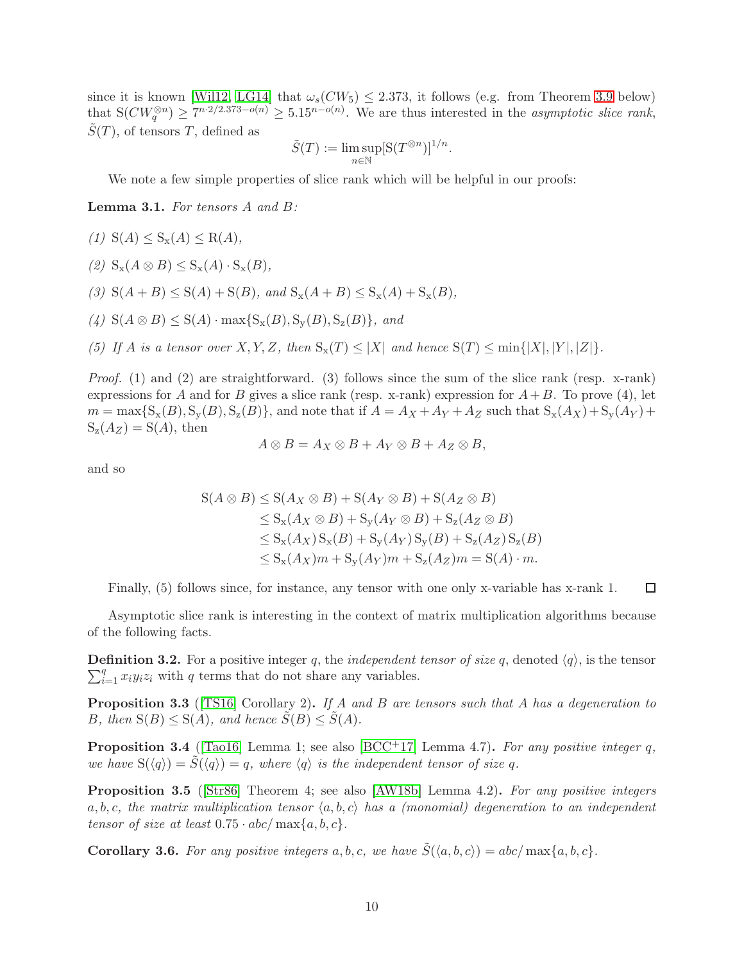since it is known [\[Wil12,](#page-24-1) [LG14\]](#page-23-3) that  $\omega_s(CW_5) \leq 2.373$ , it follows (e.g. from Theorem [3.9](#page-11-0) below) that  $S(CW_q^{\otimes n}) \geq 7^{n \cdot 2/2.373 - o(n)} \geq 5.15^{n - o(n)}$ . We are thus interested in the asymptotic slice rank,  $S(T)$ , of tensors T, defined as

$$
\tilde{S}(T) := \limsup_{n \in \mathbb{N}} [S(T^{\otimes n})]^{1/n}.
$$

We note a few simple properties of slice rank which will be helpful in our proofs:

<span id="page-10-3"></span>Lemma 3.1. For tensors A and B:

- (1)  $S(A) \leq S_{x}(A) \leq R(A)$ ,
- (2)  $S_x(A \otimes B) \leq S_x(A) \cdot S_x(B)$ ,
- (3)  $S(A + B) \leq S(A) + S(B)$ , and  $S_x(A + B) \leq S_x(A) + S_x(B)$ ,

(4)  $S(A \otimes B) \leq S(A) \cdot \max\{S_x(B), S_y(B), S_z(B)\}\$ , and

(5) If A is a tensor over X, Y, Z, then  $S_x(T) \leq |X|$  and hence  $S(T) \leq \min\{|X|, |Y|, |Z|\}.$ 

*Proof.* (1) and (2) are straightforward. (3) follows since the sum of the slice rank (resp. x-rank) expressions for A and for B gives a slice rank (resp. x-rank) expression for  $A+B$ . To prove (4), let  $m = \max\{S_x(B), S_y(B), S_z(B)\}\$ , and note that if  $A = A_X + A_Y + A_Z$  such that  $S_x(A_X) + S_y(A_Y) +$  $S_z(A_z) = S(A)$ , then

$$
A \otimes B = A_X \otimes B + A_Y \otimes B + A_Z \otimes B,
$$

and so

$$
S(A \otimes B) \leq S(A_X \otimes B) + S(A_Y \otimes B) + S(A_Z \otimes B)
$$
  
\n
$$
\leq S_x(A_X \otimes B) + S_y(A_Y \otimes B) + S_z(A_Z \otimes B)
$$
  
\n
$$
\leq S_x(A_X) S_x(B) + S_y(A_Y) S_y(B) + S_z(A_Z) S_z(B)
$$
  
\n
$$
\leq S_x(A_X)m + S_y(A_Y)m + S_z(A_Z)m = S(A) \cdot m.
$$

Finally, (5) follows since, for instance, any tensor with one only x-variable has x-rank 1.

 $\Box$ 

Asymptotic slice rank is interesting in the context of matrix multiplication algorithms because of the following facts.

**Definition 3.2.** For a positive integer q, the *independent tensor of size* q, denoted  $\langle q \rangle$ , is the tensor  $\sum_{i=1}^{q} x_i y_i z_i$  with q terms that do not share any variables.

<span id="page-10-0"></span>**Proposition 3.3** ([\[TS16\]](#page-24-4) Corollary 2). If A and B are tensors such that A has a degeneration to B, then  $S(B) \leq S(A)$ , and hence  $\tilde{S}(B) \leq \tilde{S}(A)$ .

<span id="page-10-1"></span>**Proposition 3.4** ([\[Tao16\]](#page-24-5) Lemma 1; see also [\[BCC](#page-22-3)<sup>+</sup>17] Lemma 4.7). For any positive integer q, we have  $S(\langle q \rangle) = S(\langle q \rangle) = q$ , where  $\langle q \rangle$  is the independent tensor of size q.

<span id="page-10-2"></span>**Proposition 3.5** (Str86) Theorem 4; see also [\[AW18b\]](#page-22-0) Lemma 4.2). For any positive integers  $a, b, c$ , the matrix multiplication tensor  $\langle a, b, c \rangle$  has a (monomial) degeneration to an independent tensor of size at least  $0.75 \cdot abc / \max\{a, b, c\}$ .

<span id="page-10-4"></span>**Corollary 3.6.** For any positive integers a, b, c, we have  $\tilde{S}(\langle a, b, c \rangle) = abc / max\{a, b, c\}$ .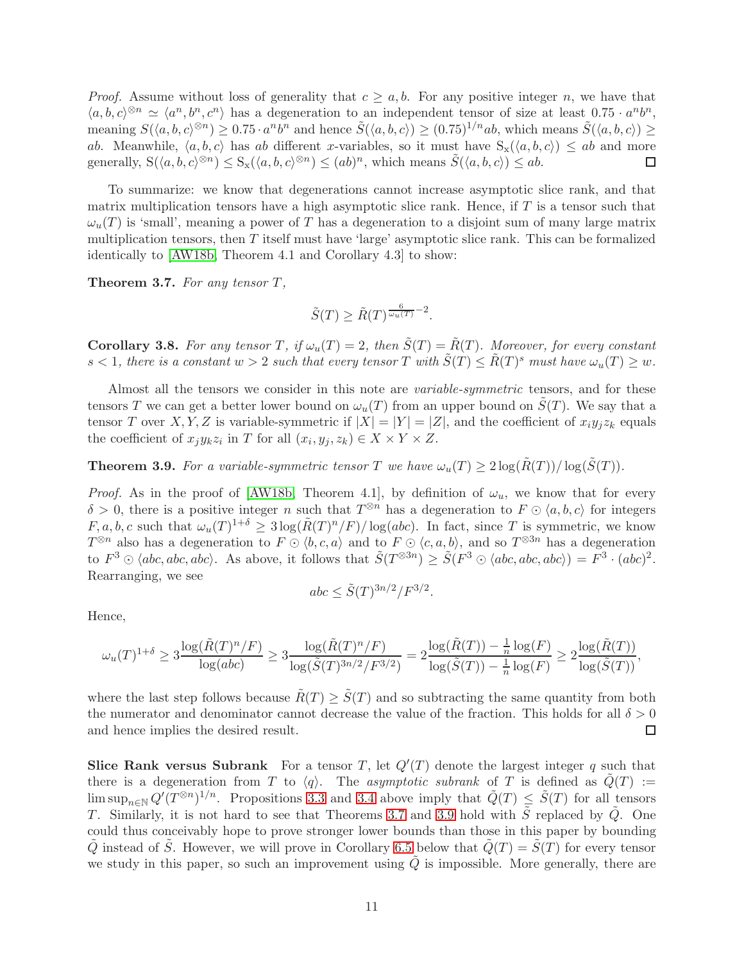*Proof.* Assume without loss of generality that  $c \geq a, b$ . For any positive integer n, we have that  $\langle a, b, c \rangle^{\otimes n} \simeq \langle a^n, b^n, c^n \rangle$  has a degeneration to an independent tensor of size at least  $0.75 \cdot a^n b^n$ , meaning  $S(\langle a, b, c \rangle^{\otimes n}) \ge 0.75 \cdot a^n b^n$  and hence  $\tilde{S}(\langle a, b, c \rangle) \ge (0.75)^{1/n} ab$ , which means  $\tilde{S}(\langle a, b, c \rangle) \ge$ ab. Meanwhile,  $\langle a, b, c \rangle$  has ab different x-variables, so it must have  $S_{x}(\langle a, b, c \rangle) \leq ab$  and more generally,  $S(\langle a, b, c \rangle^{\otimes n}) \leq S_{x}(\langle a, b, c \rangle^{\otimes n}) \leq (ab)^{n}$ , which means  $\tilde{S}(\langle a, b, c \rangle) \leq ab$ .  $\Box$ 

To summarize: we know that degenerations cannot increase asymptotic slice rank, and that matrix multiplication tensors have a high asymptotic slice rank. Hence, if T is a tensor such that  $\omega_u(T)$  is 'small', meaning a power of T has a degeneration to a disjoint sum of many large matrix multiplication tensors, then  $T$  itself must have 'large' asymptotic slice rank. This can be formalized identically to [\[AW18b,](#page-22-0) Theorem 4.1 and Corollary 4.3] to show:

<span id="page-11-1"></span>Theorem 3.7. For any tensor T,

$$
\tilde{S}(T) \ge \tilde{R}(T)^{\frac{6}{\omega_u(T)}}^{-2}.
$$

**Corollary 3.8.** For any tensor T, if  $\omega_u(T) = 2$ , then  $\tilde{S}(T) = \tilde{R}(T)$ . Moreover, for every constant  $s < 1$ , there is a constant  $w > 2$  such that every tensor T with  $\tilde{S}(T) \leq \tilde{R}(T)^s$  must have  $\omega_u(T) \geq w$ .

Almost all the tensors we consider in this note are *variable-symmetric* tensors, and for these tensors T we can get a better lower bound on  $\omega_u(T)$  from an upper bound on  $S(T)$ . We say that a tensor T over X, Y, Z is variable-symmetric if  $|X| = |Y| = |Z|$ , and the coefficient of  $x_i y_j z_k$  equals the coefficient of  $x_j y_k z_i$  in T for all  $(x_i, y_j, z_k) \in X \times Y \times Z$ .

<span id="page-11-0"></span>**Theorem 3.9.** For a variable-symmetric tensor T we have  $\omega_u(T) \geq 2 \log(\tilde{R}(T))/\log(\tilde{S}(T))$ .

*Proof.* As in the proof of [\[AW18b,](#page-22-0) Theorem 4.1], by definition of  $\omega_u$ , we know that for every  $\delta > 0$ , there is a positive integer n such that  $T^{\otimes n}$  has a degeneration to  $F \odot \langle a, b, c \rangle$  for integers  $F, a, b, c$  such that  $\omega_u(T)^{1+\delta} \geq 3 \log(\tilde{R}(T)^n/F)/\log(abc)$ . In fact, since T is symmetric, we know  $T^{\otimes n}$  also has a degeneration to  $F \odot \langle b, c, a \rangle$  and to  $F \odot \langle c, a, b \rangle$ , and so  $T^{\otimes 3n}$  has a degeneration to  $F^3 \odot \langle abc, abc, abc \rangle$ . As above, it follows that  $\widetilde{S}(T^{\otimes 3n}) \geq \widetilde{S}(F^3 \odot \langle abc, abc, abc \rangle) = F^3 \cdot (abc)^2$ . Rearranging, we see

$$
abc \leq \tilde{S}(T)^{3n/2}/F^{3/2}.
$$

Hence,

$$
\omega_u(T)^{1+\delta} \ge 3 \frac{\log(\tilde{R}(T)^n/F)}{\log(abc)} \ge 3 \frac{\log(\tilde{R}(T)^n/F)}{\log(\tilde{S}(T)^{3n/2}/F^{3/2})} = 2 \frac{\log(\tilde{R}(T)) - \frac{1}{n} \log(F)}{\log(\tilde{S}(T)) - \frac{1}{n} \log(F)} \ge 2 \frac{\log(\tilde{R}(T))}{\log(\tilde{S}(T))},
$$

where the last step follows because  $\tilde{R}(T) > \tilde{S}(T)$  and so subtracting the same quantity from both the numerator and denominator cannot decrease the value of the fraction. This holds for all  $\delta > 0$ and hence implies the desired result. □

Slice Rank versus Subrank For a tensor T, let  $Q'(T)$  denote the largest integer q such that there is a degeneration from T to  $\langle q \rangle$ . The asymptotic subrank of T is defined as  $Q(T) :=$  $\limsup_{n\in\mathbb{N}} Q'(T^{\otimes n})^{1/n}$ . Propositions [3.3](#page-10-0) and [3.4](#page-10-1) above imply that  $\tilde{Q}(T) \leq \tilde{S}(T)$  for all tensors T. Similarly, it is not hard to see that Theorems [3.7](#page-11-1) and [3.9](#page-11-0) hold with  $\tilde{S}$  replaced by  $\tilde{Q}$ . One could thus conceivably hope to prove stronger lower bounds than those in this paper by bounding Q instead of S. However, we will prove in Corollary [6.5](#page-22-4) below that  $Q(T) = S(T)$  for every tensor we study in this paper, so such an improvement using  $Q$  is impossible. More generally, there are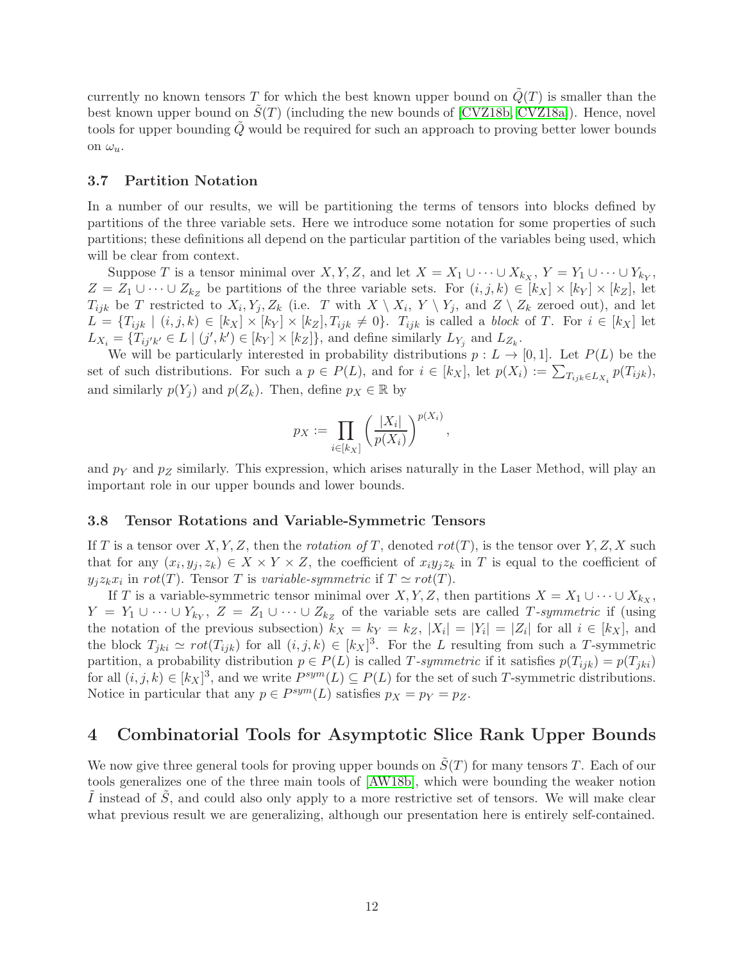currently no known tensors T for which the best known upper bound on  $\tilde{Q}(T)$  is smaller than the best known upper bound on  $\tilde{S}(T)$  (including the new bounds of [\[CVZ18b,](#page-23-15) [CVZ18a\]](#page-23-11)). Hence, novel tools for upper bounding  $\tilde{Q}$  would be required for such an approach to proving better lower bounds on  $\omega_u$ .

### <span id="page-12-1"></span>3.7 Partition Notation

In a number of our results, we will be partitioning the terms of tensors into blocks defined by partitions of the three variable sets. Here we introduce some notation for some properties of such partitions; these definitions all depend on the particular partition of the variables being used, which will be clear from context.

Suppose T is a tensor minimal over X, Y, Z, and let  $X = X_1 \cup \cdots \cup X_{k_X}$ ,  $Y = Y_1 \cup \cdots \cup Y_{k_Y}$ ,  $Z = Z_1 \cup \cdots \cup Z_{k_Z}$  be partitions of the three variable sets. For  $(i, j, k) \in [k_X] \times [k_Y] \times [k_Z]$ , let  $T_{ijk}$  be T restricted to  $X_i, Y_j, Z_k$  (i.e. T with  $X \setminus X_i, Y \setminus Y_j$ , and  $Z \setminus Z_k$  zeroed out), and let  $L = \{T_{ijk} \mid (i,j,k) \in [k_X] \times [k_Y] \times [k_Z], T_{ijk} \neq 0\}$ .  $T_{ijk}$  is called a block of T. For  $i \in [k_X]$  let  $L_{X_i} = \{T_{ij'k'} \in L \mid (j',k') \in [k_Y] \times [k_Z]\},\$  and define similarly  $L_{Y_j}$  and  $L_{Z_k}$ .

We will be particularly interested in probability distributions  $p : L \to [0,1]$ . Let  $P(L)$  be the set of such distributions. For such a  $p \in P(L)$ , and for  $i \in [k_X]$ , let  $p(X_i) := \sum_{T_{ijk} \in L_{X_i}} p(T_{ijk})$ , and similarly  $p(Y_j)$  and  $p(Z_k)$ . Then, define  $p_X \in \mathbb{R}$  by

$$
p_X := \prod_{i \in [k_X]} \left(\frac{|X_i|}{p(X_i)}\right)^{p(X_i)}
$$

,

and  $p_Y$  and  $p_Z$  similarly. This expression, which arises naturally in the Laser Method, will play an important role in our upper bounds and lower bounds.

### <span id="page-12-2"></span>3.8 Tensor Rotations and Variable-Symmetric Tensors

If T is a tensor over X, Y, Z, then the rotation of T, denoted  $rot(T)$ , is the tensor over Y, Z, X such that for any  $(x_i, y_j, z_k) \in X \times Y \times Z$ , the coefficient of  $x_i y_j z_k$  in T is equal to the coefficient of  $y_j z_k x_i$  in  $rot(T)$ . Tensor T is variable-symmetric if  $T \simeq rot(T)$ .

If T is a variable-symmetric tensor minimal over X, Y, Z, then partitions  $X = X_1 \cup \cdots \cup X_{k_X}$ ,  $Y = Y_1 \cup \cdots \cup Y_{k_Y}, Z = Z_1 \cup \cdots \cup Z_{k_Z}$  of the variable sets are called T-symmetric if (using the notation of the previous subsection)  $k_X = k_Y = k_Z$ ,  $|X_i| = |Y_i| = |Z_i|$  for all  $i \in [k_X]$ , and the block  $T_{jki} \simeq rot(T_{ijk})$  for all  $(i, j, k) \in [k]^{3}$ . For the L resulting from such a T-symmetric partition, a probability distribution  $p \in P(L)$  is called T-symmetric if it satisfies  $p(T_{ijk}) = p(T_{jki})$ for all  $(i, j, k) \in [k]^{3}$ , and we write  $P^{sym}(L) \subseteq P(L)$  for the set of such T-symmetric distributions. Notice in particular that any  $p \in P^{sym}(L)$  satisfies  $p_X = p_Y = p_Z$ .

# <span id="page-12-0"></span>4 Combinatorial Tools for Asymptotic Slice Rank Upper Bounds

We now give three general tools for proving upper bounds on  $\tilde{S}(T)$  for many tensors T. Each of our tools generalizes one of the three main tools of [\[AW18b\]](#page-22-0), which were bounding the weaker notion  $\tilde{I}$  instead of  $\tilde{S}$ , and could also only apply to a more restrictive set of tensors. We will make clear what previous result we are generalizing, although our presentation here is entirely self-contained.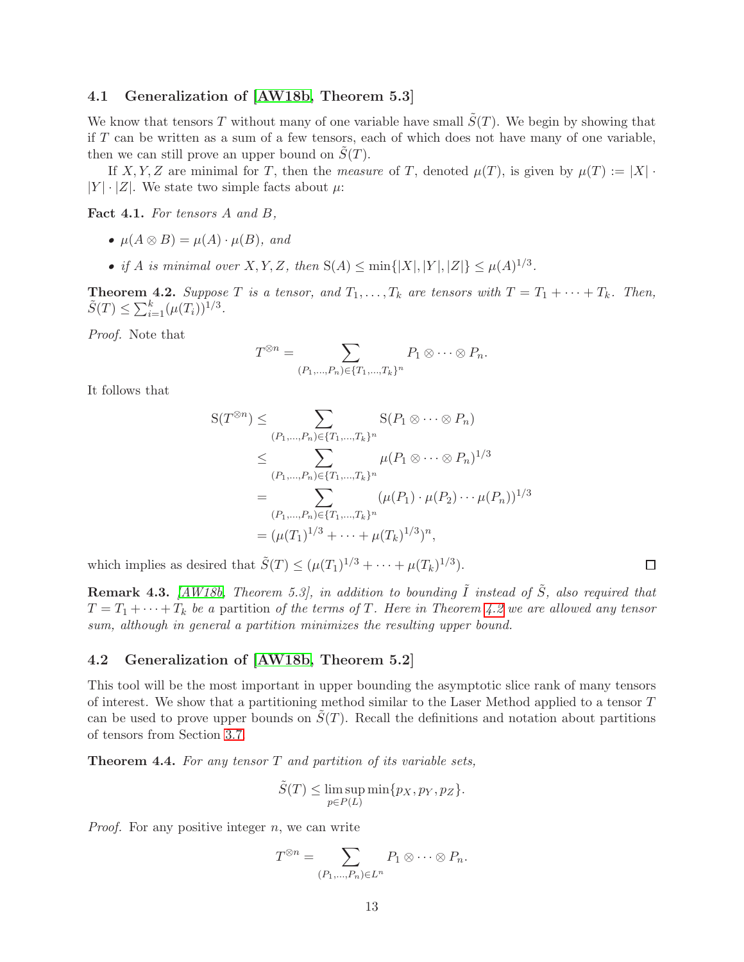### 4.1 Generalization of [\[AW18b,](#page-22-0) Theorem 5.3]

We know that tensors T without many of one variable have small  $\tilde{S}(T)$ . We begin by showing that if  $T$  can be written as a sum of a few tensors, each of which does not have many of one variable, then we can still prove an upper bound on  $S(T)$ .

If X, Y, Z are minimal for T, then the measure of T, denoted  $\mu(T)$ , is given by  $\mu(T) := |X|$ .  $|Y| \cdot |Z|$ . We state two simple facts about  $\mu$ :

Fact 4.1. For tensors A and B,

- $\mu(A \otimes B) = \mu(A) \cdot \mu(B)$ , and
- if A is minimal over X, Y, Z, then  $S(A) \le \min\{|X|, |Y|, |Z|\} \le \mu(A)^{1/3}$ .

<span id="page-13-1"></span>**Theorem 4.2.** Suppose T is a tensor, and  $T_1, \ldots, T_k$  are tensors with  $T = T_1 + \cdots + T_k$ . Then,  $\tilde{S}(T) \leq \sum_{i=1}^{k} (\mu(T_i))^{1/3}$ .

Proof. Note that

$$
T^{\otimes n} = \sum_{(P_1,\ldots,P_n)\in\{T_1,\ldots,T_k\}^n} P_1 \otimes \cdots \otimes P_n.
$$

It follows that

$$
S(T^{\otimes n}) \leq \sum_{(P_1,\ldots,P_n)\in\{T_1,\ldots,T_k\}^n} S(P_1 \otimes \cdots \otimes P_n)
$$
  
\n
$$
\leq \sum_{(P_1,\ldots,P_n)\in\{T_1,\ldots,T_k\}^n} \mu(P_1 \otimes \cdots \otimes P_n)^{1/3}
$$
  
\n
$$
= \sum_{(P_1,\ldots,P_n)\in\{T_1,\ldots,T_k\}^n} (\mu(P_1) \cdot \mu(P_2) \cdots \mu(P_n))^{1/3}
$$
  
\n
$$
= (\mu(T_1)^{1/3} + \cdots + \mu(T_k)^{1/3})^n,
$$

which implies as desired that  $\tilde{S}(T) \leq (\mu(T_1)^{1/3} + \cdots + \mu(T_k)^{1/3}).$ 

**Remark 4.3.** [\[AW18b,](#page-22-0) Theorem 5.3], in addition to bounding  $\tilde{I}$  instead of  $\tilde{S}$ , also required that  $T = T_1 + \cdots + T_k$  be a partition of the terms of T. Here in Theorem [4.2](#page-13-1) we are allowed any tensor sum, although in general a partition minimizes the resulting upper bound.

 $\Box$ 

### 4.2 Generalization of [\[AW18b,](#page-22-0) Theorem 5.2]

This tool will be the most important in upper bounding the asymptotic slice rank of many tensors of interest. We show that a partitioning method similar to the Laser Method applied to a tensor T can be used to prove upper bounds on  $S(T)$ . Recall the definitions and notation about partitions of tensors from Section [3.7.](#page-12-1)

<span id="page-13-0"></span>**Theorem 4.4.** For any tensor  $T$  and partition of its variable sets,

$$
\tilde{S}(T) \le \limsup_{p \in P(L)} \min\{p_X, p_Y, p_Z\}.
$$

*Proof.* For any positive integer  $n$ , we can write

$$
T^{\otimes n} = \sum_{(P_1,\ldots,P_n)\in L^n} P_1 \otimes \cdots \otimes P_n.
$$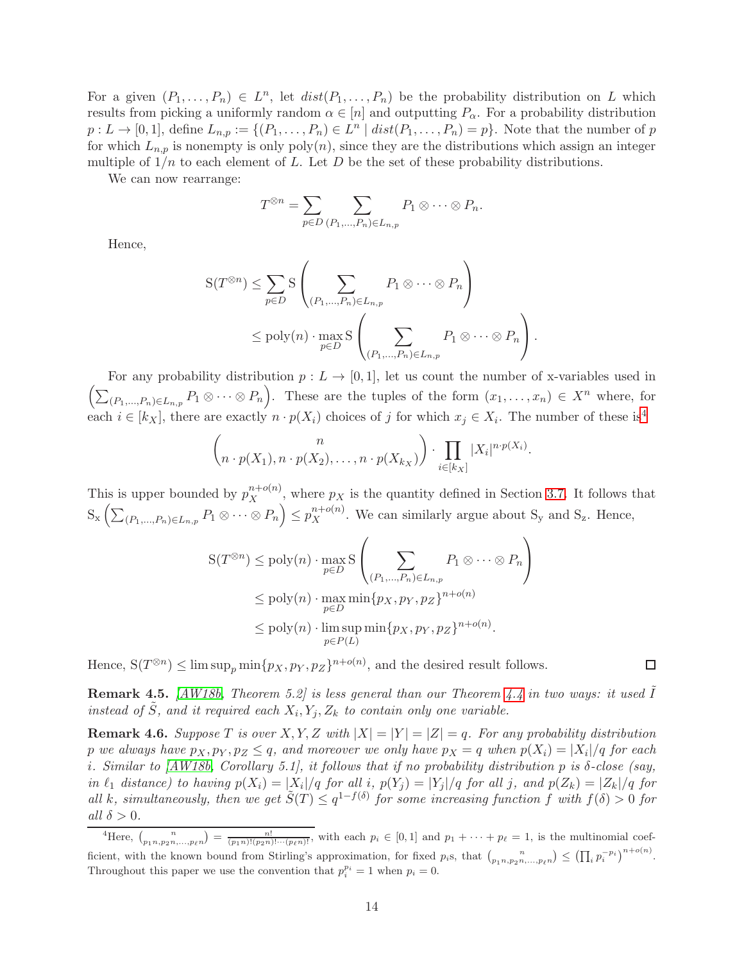For a given  $(P_1, \ldots, P_n) \in L^n$ , let  $dist(P_1, \ldots, P_n)$  be the probability distribution on L which results from picking a uniformly random  $\alpha \in [n]$  and outputting  $P_{\alpha}$ . For a probability distribution  $p: L \to [0,1],$  define  $L_{n,p} := \{(P_1, \ldots, P_n) \in L^n \mid dist(P_1, \ldots, P_n) = p\}.$  Note that the number of p for which  $L_{n,p}$  is nonempty is only poly $(n)$ , since they are the distributions which assign an integer multiple of  $1/n$  to each element of L. Let D be the set of these probability distributions.

We can now rearrange:

$$
T^{\otimes n} = \sum_{p \in D} \sum_{(P_1,\ldots,P_n) \in L_{n,p}} P_1 \otimes \cdots \otimes P_n.
$$

Hence,

$$
S(T^{\otimes n}) \leq \sum_{p \in D} S\left(\sum_{(P_1, \ldots, P_n) \in L_{n,p}} P_1 \otimes \cdots \otimes P_n\right)
$$
  

$$
\leq \text{poly}(n) \cdot \max_{p \in D} S\left(\sum_{(P_1, \ldots, P_n) \in L_{n,p}} P_1 \otimes \cdots \otimes P_n\right).
$$

For any probability distribution  $p: L \to [0, 1]$ , let us count the number of x-variables used in  $\left(\sum_{(P_1,\ldots,P_n)\in L_{n,p}} P_1 \otimes \cdots \otimes P_n\right)$ . These are the tuples of the form  $(x_1,\ldots,x_n) \in X^n$  where, for each  $i \in [k_X]$ , there are exactly  $n \cdot p(X_i)$  choices of j for which  $x_j \in X_i$ . The number of these is<sup>[4](#page-14-0)</sup>

$$
\binom{n}{n \cdot p(X_1), n \cdot p(X_2), \ldots, n \cdot p(X_{k_X})} \cdot \prod_{i \in [k_X]} |X_i|^{n \cdot p(X_i)}.
$$

This is upper bounded by  $p_X^{n+o(n)}$  $\chi^{n+o(n)}$ , where  $p_X$  is the quantity defined in Section [3.7.](#page-12-1) It follows that  $S_{\mathbf{x}}\left(\sum_{(P_1,\ldots,P_n)\in L_{n,p}} P_1 \otimes \cdots \otimes P_n\right) \leq p_X^{n+o(n)}$ . We can similarly argue about  $S_{\mathbf{y}}$  and  $S_{\mathbf{z}}$ . Hence,

$$
S(T^{\otimes n}) \leq poly(n) \cdot \max_{p \in D} S\left(\sum_{(P_1, \dots, P_n) \in L_{n,p}} P_1 \otimes \dots \otimes P_n\right)
$$
  
\n
$$
\leq poly(n) \cdot \max_{p \in D} \min\{p_X, p_Y, p_Z\}^{n+o(n)}
$$
  
\n
$$
\leq poly(n) \cdot \limsup_{p \in P(L)} \min\{p_X, p_Y, p_Z\}^{n+o(n)}.
$$

Hence,  $S(T^{\otimes n}) \leq \limsup_p \min\{p_X, p_Y, p_Z\}^{n+o(n)}$ , and the desired result follows.

**Remark 4.5.** [\[AW18b,](#page-22-0) Theorem 5.2] is less general than our Theorem [4.4](#page-13-0) in two ways: it used  $\overline{I}$ instead of  $\tilde{S}$ , and it required each  $X_i, Y_j, Z_k$  to contain only one variable.

**Remark 4.6.** Suppose T is over X, Y, Z with  $|X| = |Y| = |Z| = q$ . For any probability distribution  $p$  we always have  $p_X, p_Y, p_Z \leq q$ , and moreover we only have  $p_X = q$  when  $p(X_i) = |X_i|/q$  for each i. Similar to [\[AW18b,](#page-22-0) Corollary 5.1], it follows that if no probability distribution p is  $\delta$ -close (say, in  $\ell_1$  distance) to having  $p(X_i) = |X_i|/q$  for all i,  $p(Y_j) = |Y_j|/q$  for all j, and  $p(Z_k) = |Z_k|/q$  for all k, simultaneously, then we get  $\tilde{S}(T) \leq q^{1-f(\delta)}$  for some increasing function f with  $f(\delta) > 0$  for all  $\delta > 0$ .

 $\Box$ 

<span id="page-14-0"></span><sup>&</sup>lt;sup>4</sup>Here,  $\binom{n}{p_1, p_2, p_3, \ldots, p_\ell n} = \frac{n!}{(p_1 n)! (p_2 n)! \cdots (p_\ell n)!}$ , with each  $p_i \in [0, 1]$  and  $p_1 + \cdots + p_\ell = 1$ , is the multinomial coefficient, with the known bound from Stirling's approximation, for fixed  $p_i$ s, that  $\binom{n}{p_1 n, p_2 n, \dots, p_\ell n} \leq (\prod_i p_i^{-p_i})^{n+o(n)}$ . Throughout this paper we use the convention that  $p_i^{p_i} = 1$  when  $p_i = 0$ .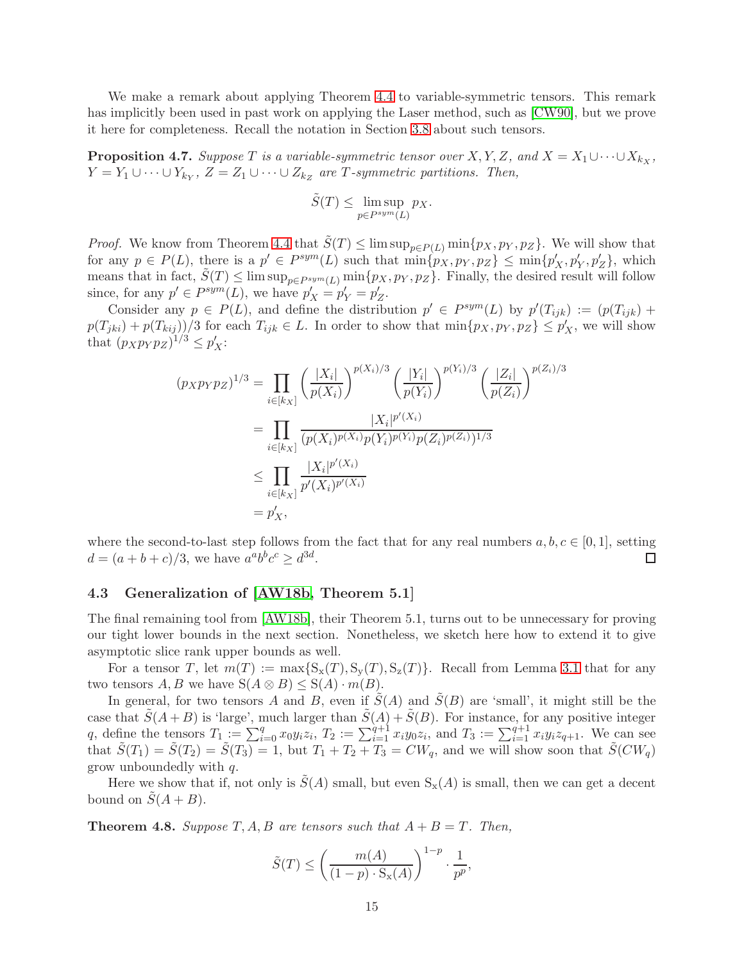We make a remark about applying Theorem [4.4](#page-13-0) to variable-symmetric tensors. This remark has implicitly been used in past work on applying the Laser method, such as [\[CW90\]](#page-23-1), but we prove it here for completeness. Recall the notation in Section [3.8](#page-12-2) about such tensors.

<span id="page-15-1"></span>**Proposition 4.7.** Suppose T is a variable-symmetric tensor over  $X, Y, Z$ , and  $X = X_1 \cup \cdots \cup X_{k_X}$ ,  $Y = Y_1 \cup \cdots \cup Y_{k_Y}, Z = Z_1 \cup \cdots \cup Z_{k_Z}$  are T-symmetric partitions. Then,

$$
\tilde{S}(T) \le \limsup_{p \in P^{sym}(L)} p_X.
$$

*Proof.* We know from Theorem [4.4](#page-13-0) that  $\tilde{S}(T) \leq \limsup_{p \in P(L)} \min\{p_X, p_Y, p_Z\}$ . We will show that for any  $p \in P(L)$ , there is a  $p' \in P^{sym}(L)$  such that  $\min\{p'_{X}, p_{Y}, p_{Z}\} \leq \min\{p'_{X}, p'_{Y}, p'_{Z}\}$ , which means that in fact,  $\tilde{S}(T) \le \limsup_{p \in P^{sym}(L)} \min\{p_X, p_Y, p_Z\}$ . Finally, the desired result will follow since, for any  $p' \in P^{sym}(L)$ , we have  $p'_{X} = p'_{Y} = p'_{Z}$ .

Consider any  $p \in P(L)$ , and define the distribution  $p' \in P^{sym}(L)$  by  $p'(T_{ijk}) := (p(T_{ijk}) + p(T_{ijk}))$  $p(T_{jki}) + p(T_{kij})/3$  for each  $T_{ijk} \in L$ . In order to show that  $\min\{p_X, p_Y, p_Z\} \leq p'_X$ , we will show that  $(p_X p_Y p_Z)^{1/3} \leq p'_X$ :

$$
(p_X p_Y p_Z)^{1/3} = \prod_{i \in [k_X]} \left(\frac{|X_i|}{p(X_i)}\right)^{p(X_i)/3} \left(\frac{|Y_i|}{p(Y_i)}\right)^{p(Y_i)/3} \left(\frac{|Z_i|}{p(Z_i)}\right)^{p(Z_i)/3}
$$

$$
= \prod_{i \in [k_X]} \frac{|X_i|^{p'(X_i)}}{(p(X_i)^{p(X_i)} p(Y_i)^{p(Y_i)} p(Z_i)^{p(Z_i)})^{1/3}}
$$

$$
\leq \prod_{i \in [k_X]} \frac{|X_i|^{p'(X_i)}}{p'(X_i)^{p'(X_i)}}
$$

$$
= p'_X,
$$

where the second-to-last step follows from the fact that for any real numbers  $a, b, c \in [0, 1]$ , setting  $d = (a+b+c)/3$ , we have  $a^a b^b c^c \geq d^{3d}$ .  $\Box$ 

### 4.3 Generalization of [\[AW18b,](#page-22-0) Theorem 5.1]

The final remaining tool from [\[AW18b\]](#page-22-0), their Theorem 5.1, turns out to be unnecessary for proving our tight lower bounds in the next section. Nonetheless, we sketch here how to extend it to give asymptotic slice rank upper bounds as well.

For a tensor T, let  $m(T) := \max\{S_{x}(T), S_{y}(T), S_{z}(T)\}\.$  Recall from Lemma [3.1](#page-10-3) that for any two tensors  $A, B$  we have  $S(A \otimes B) \leq S(A) \cdot m(B)$ .

In general, for two tensors A and B, even if  $\tilde{S}(A)$  and  $\tilde{S}(B)$  are 'small', it might still be the case that  $\tilde{S}(A+B)$  is 'large', much larger than  $\tilde{S}(A)+\tilde{S}(B)$ . For instance, for any positive integer q, define the tensors  $T_1 := \sum_{i=0}^q x_0 y_i z_i$ ,  $T_2 := \sum_{i=1}^{q+1} x_i y_0 z_i$ , and  $T_3 := \sum_{i=1}^{q+1} x_i y_i z_{q+1}$ . We can see that  $\tilde{S}(T_1) = \tilde{S}(T_2) = \tilde{S}(T_3) = 1$ , but  $T_1 + T_2 + T_3 = CW_q$ , and we will show soon that  $\tilde{S}(CW_q)$ grow unboundedly with q.

Here we show that if, not only is  $\tilde{S}(A)$  small, but even  $S_{\mathbf{x}}(A)$  is small, then we can get a decent bound on  $\tilde{S}(A + B)$ .

<span id="page-15-0"></span>**Theorem 4.8.** Suppose T, A, B are tensors such that  $A + B = T$ . Then,

$$
\tilde{S}(T) \le \left(\frac{m(A)}{(1-p) \cdot S_{\mathbf{x}}(A)}\right)^{1-p} \cdot \frac{1}{p^p},
$$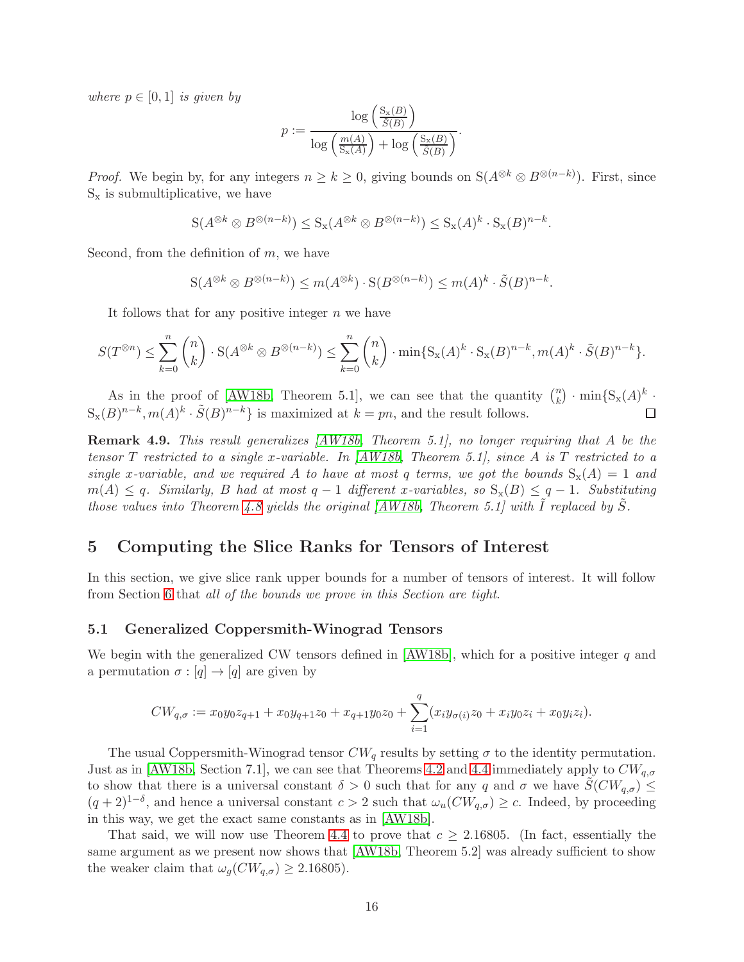where  $p \in [0, 1]$  is given by

$$
p := \frac{\log\left(\frac{S_x(B)}{\tilde{S}(B)}\right)}{\log\left(\frac{m(A)}{S_x(A)}\right) + \log\left(\frac{S_x(B)}{\tilde{S}(B)}\right)}.
$$

*Proof.* We begin by, for any integers  $n \geq k \geq 0$ , giving bounds on  $S(A^{\otimes k} \otimes B^{\otimes (n-k)})$ . First, since  $S_x$  is submultiplicative, we have

$$
S(A^{\otimes k} \otimes B^{\otimes (n-k)}) \leq S_x(A^{\otimes k} \otimes B^{\otimes (n-k)}) \leq S_x(A)^k \cdot S_x(B)^{n-k}.
$$

Second, from the definition of  $m$ , we have

$$
S(A^{\otimes k} \otimes B^{\otimes (n-k)}) \le m(A^{\otimes k}) \cdot S(B^{\otimes (n-k)}) \le m(A)^k \cdot \tilde{S}(B)^{n-k}.
$$

It follows that for any positive integer  $n$  we have

$$
S(T^{\otimes n}) \leq \sum_{k=0}^{n} {n \choose k} \cdot S(A^{\otimes k} \otimes B^{\otimes (n-k)}) \leq \sum_{k=0}^{n} {n \choose k} \cdot \min\{S_{\mathbf{x}}(A)^{k} \cdot S_{\mathbf{x}}(B)^{n-k}, m(A)^{k} \cdot \tilde{S}(B)^{n-k}\}.
$$

As in the proof of [\[AW18b,](#page-22-0) Theorem 5.1], we can see that the quantity  $\binom{n}{k}$  ${k \choose k}$  · min{S<sub>x</sub>(A)<sup>k</sup> ·  $S_{\mathbf{x}}(B)^{n-k}, m(A)^{k} \cdot \tilde{S}(B)^{n-k}$  is maximized at  $k = pn$ , and the result follows. П

Remark 4.9. This result generalizes [\[AW18b,](#page-22-0) Theorem 5.1], no longer requiring that A be the tensor T restricted to a single x-variable. In  $\langle AW18b, Theorem 5.1 \rangle$ , since A is T restricted to a single x-variable, and we required A to have at most q terms, we got the bounds  $S_x(A) = 1$  and  $m(A) \leq q$ . Similarly, B had at most  $q-1$  different x-variables, so  $S_{\rm x}(B) \leq q-1$ . Substituting those values into Theorem [4.8](#page-15-0) yields the original  $(AW18b,$  Theorem 5.1] with I replaced by S.

# <span id="page-16-0"></span>5 Computing the Slice Ranks for Tensors of Interest

In this section, we give slice rank upper bounds for a number of tensors of interest. It will follow from Section [6](#page-20-0) that all of the bounds we prove in this Section are tight.

#### <span id="page-16-1"></span>5.1 Generalized Coppersmith-Winograd Tensors

We begin with the generalized CW tensors defined in  $[AW18b]$ , which for a positive integer q and a permutation  $\sigma : [q] \to [q]$  are given by

$$
CW_{q,\sigma} := x_0 y_0 z_{q+1} + x_0 y_{q+1} z_0 + x_{q+1} y_0 z_0 + \sum_{i=1}^q (x_i y_{\sigma(i)} z_0 + x_i y_0 z_i + x_0 y_i z_i).
$$

The usual Coppersmith-Winograd tensor  $CW_q$  results by setting  $\sigma$  to the identity permutation. Just as in [\[AW18b,](#page-22-0) Section 7.1], we can see that Theorems [4.2](#page-13-1) and [4.4](#page-13-0) immediately apply to  $CW_{q,\sigma}$ to show that there is a universal constant  $\delta > 0$  such that for any q and  $\sigma$  we have  $S(CW_{q,\sigma}) \leq$  $(q+2)^{1-\delta}$ , and hence a universal constant  $c > 2$  such that  $\omega_u(CW_{q,\sigma}) \geq c$ . Indeed, by proceeding in this way, we get the exact same constants as in [\[AW18b\]](#page-22-0).

That said, we will now use Theorem [4.4](#page-13-0) to prove that  $c \geq 2.16805$ . (In fact, essentially the same argument as we present now shows that [\[AW18b,](#page-22-0) Theorem 5.2] was already sufficient to show the weaker claim that  $\omega_g(CW_{q,\sigma}) \geq 2.16805$ .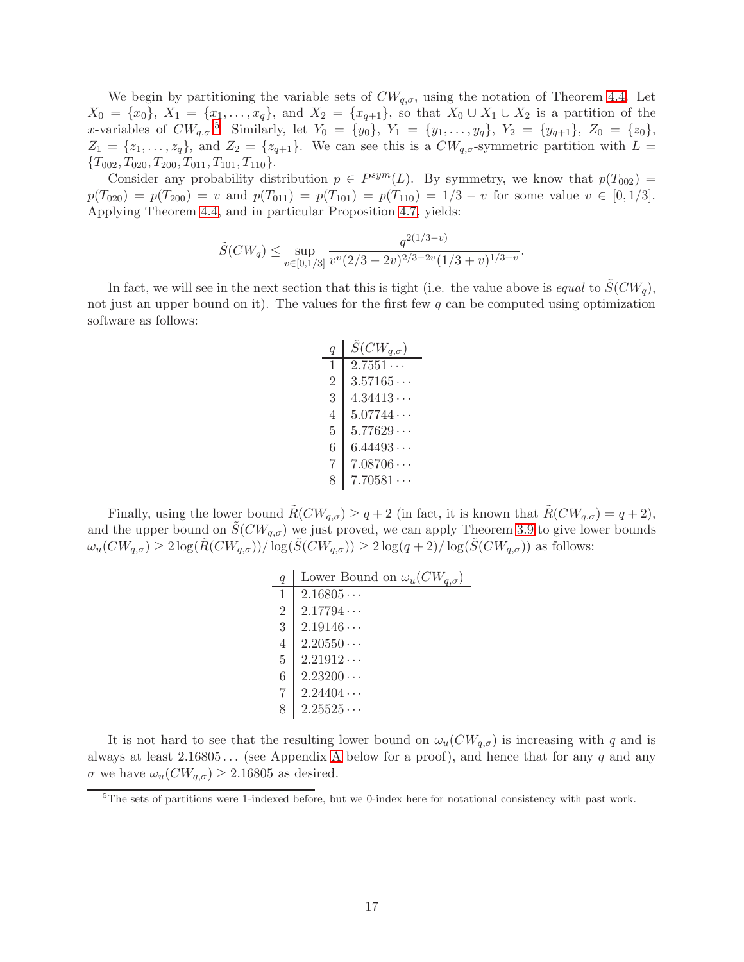We begin by partitioning the variable sets of  $CW_{q,\sigma}$ , using the notation of Theorem [4.4.](#page-13-0) Let  $X_0 = \{x_0\}, X_1 = \{x_1, \ldots, x_q\}, \text{ and } X_2 = \{x_{q+1}\}, \text{ so that } X_0 \cup X_1 \cup X_2 \text{ is a partition of the }$ x-variables of  $CW_{q,\sigma}$ .<sup>[5](#page-17-0)</sup> Similarly, let  $Y_0 = \{y_0\}$ ,  $Y_1 = \{y_1, \ldots, y_q\}$ ,  $Y_2 = \{y_{q+1}\}$ ,  $Z_0 = \{z_0\}$ ,  $Z_1 = \{z_1, \ldots, z_q\}$ , and  $Z_2 = \{z_{q+1}\}.$  We can see this is a  $CW_{q,\sigma}$ -symmetric partition with  $L =$  ${T_{002}, T_{020}, T_{200}, T_{011}, T_{101}, T_{110}}.$ 

Consider any probability distribution  $p \in P^{sym}(L)$ . By symmetry, we know that  $p(T_{002}) =$  $p(T_{020}) = p(T_{200}) = v$  and  $p(T_{011}) = p(T_{101}) = p(T_{110}) = 1/3 - v$  for some value  $v \in [0, 1/3]$ . Applying Theorem [4.4,](#page-13-0) and in particular Proposition [4.7,](#page-15-1) yields:

$$
\tilde{S}(CW_q) \le \sup_{v \in [0,1/3]} \frac{q^{2(1/3-v)}}{v^v(2/3 - 2v)^{2/3 - 2v}(1/3 + v)^{1/3 + v}}.
$$

In fact, we will see in the next section that this is tight (i.e. the value above is equal to  $S(CW_q)$ , not just an upper bound on it). The values for the first few  $q$  can be computed using optimization software as follows:

| q                        | $\widetilde{S}(CW_{q,\sigma})$ |
|--------------------------|--------------------------------|
| 1                        | 2.7551                         |
| $\overline{2}$           | 3.57165                        |
| 3                        | 4.34413                        |
| 4                        | 5.07744                        |
| 5                        | 5.77629                        |
| 6                        | 6.44493                        |
| 7                        | 7.08706                        |
| $\overline{\mathcal{S}}$ | 7.70581                        |

Finally, using the lower bound  $\tilde{R}(CW_{q,\sigma}) \geq q+2$  (in fact, it is known that  $\tilde{R}(CW_{q,\sigma}) = q+2$ ), and the upper bound on  $S(CW_{q,\sigma})$  we just proved, we can apply Theorem [3.9](#page-11-0) to give lower bounds  $\omega_u(CW_{q,\sigma}) \geq 2 \log(R(CW_{q,\sigma}))/\log(S(CW_{q,\sigma})) \geq 2 \log(q+2)/\log(S(CW_{q,\sigma}))$  as follows:

| q              | Lower Bound on $\omega_u(CW_{a,\sigma})$ |
|----------------|------------------------------------------|
| 1              | 2.16805                                  |
| $\overline{2}$ | 2.17794                                  |
| 3              | 2.19146                                  |
| 4              | $2.20550\cdots$                          |
| 5              | 2.21912                                  |
| 6              | $2.23200\cdots$                          |
| 7              | $2.24404\cdots$                          |
|                | 2.25525                                  |

It is not hard to see that the resulting lower bound on  $\omega_u(CW_{q,\sigma})$  is increasing with q and is always at least  $2.16805...$  (see [A](#page-24-6)ppendix A below for a proof), and hence that for any q and any  $\sigma$  we have  $\omega_u(CW_{q,\sigma}) \geq 2.16805$  as desired.

<span id="page-17-0"></span> $5$ The sets of partitions were 1-indexed before, but we 0-index here for notational consistency with past work.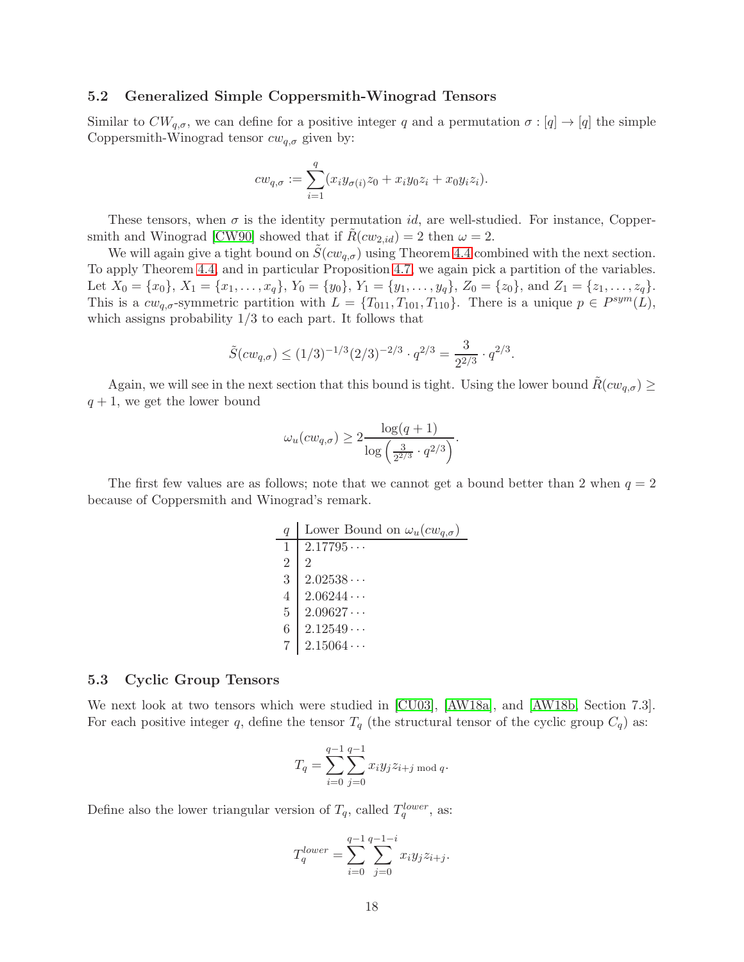### 5.2 Generalized Simple Coppersmith-Winograd Tensors

Similar to  $CW_{q,\sigma}$ , we can define for a positive integer q and a permutation  $\sigma : [q] \to [q]$  the simple Coppersmith-Winograd tensor  $cw_{q,\sigma}$  given by:

$$
cw_{q,\sigma} := \sum_{i=1}^q (x_i y_{\sigma(i)} z_0 + x_i y_0 z_i + x_0 y_i z_i).
$$

These tensors, when  $\sigma$  is the identity permutation *id*, are well-studied. For instance, Copper-smith and Winograd [\[CW90\]](#page-23-1) showed that if  $R(cw_{2,id}) = 2$  then  $\omega = 2$ .

We will again give a tight bound on  $\tilde{S}(cw_{q,\sigma})$  using Theorem [4.4](#page-13-0) combined with the next section. To apply Theorem [4.4,](#page-13-0) and in particular Proposition [4.7,](#page-15-1) we again pick a partition of the variables. Let  $X_0 = \{x_0\}, X_1 = \{x_1, \ldots, x_q\}, Y_0 = \{y_0\}, Y_1 = \{y_1, \ldots, y_q\}, Z_0 = \{z_0\}, \text{ and } Z_1 = \{z_1, \ldots, z_q\}.$ This is a  $cw_{q,\sigma}$ -symmetric partition with  $L = \{T_{011}, T_{101}, T_{110}\}$ . There is a unique  $p \in P^{sym}(L)$ , which assigns probability  $1/3$  to each part. It follows that

$$
\tilde{S}(cw_{q,\sigma}) \le (1/3)^{-1/3} (2/3)^{-2/3} \cdot q^{2/3} = \frac{3}{2^{2/3}} \cdot q^{2/3}.
$$

Again, we will see in the next section that this bound is tight. Using the lower bound  $R(cw_{q,\sigma}) \geq$  $q + 1$ , we get the lower bound

$$
\omega_u(cw_{q,\sigma}) \ge 2 \frac{\log(q+1)}{\log\left(\frac{3}{2^{2/3}} \cdot q^{2/3}\right)}.
$$

The first few values are as follows; note that we cannot get a bound better than 2 when  $q = 2$ because of Coppersmith and Winograd's remark.

> q Lower Bound on  $\omega_u(cw_{q,\sigma})$  $1 \mid 2.17795 \cdots$  $2 \mid 2 \mid$  $3 \mid 2.02538 \cdots$  $4 \mid 2.06244 \cdots$  $5 \mid 2.09627 \cdots$  $6 \mid 2.12549 \cdots$  $2.15064...$

#### 5.3 Cyclic Group Tensors

We next look at two tensors which were studied in [\[CU03\]](#page-23-0), [\[AW18a\]](#page-22-1), and [\[AW18b,](#page-22-0) Section 7.3]. For each positive integer q, define the tensor  $T_q$  (the structural tensor of the cyclic group  $C_q$ ) as:

$$
T_q = \sum_{i=0}^{q-1} \sum_{j=0}^{q-1} x_i y_j z_{i+j \bmod q}.
$$

Define also the lower triangular version of  $T_q$ , called  $T_q^{lower}$ , as:

$$
T_q^{lower} = \sum_{i=0}^{q-1} \sum_{j=0}^{q-1-i} x_i y_j z_{i+j}.
$$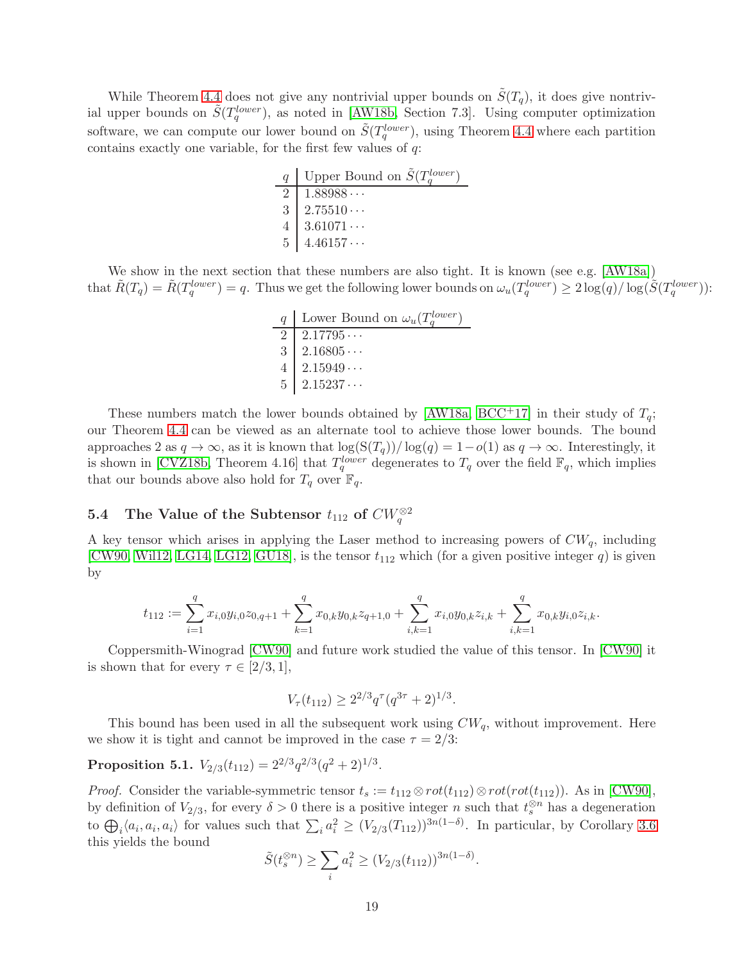While Theorem [4.4](#page-13-0) does not give any nontrivial upper bounds on  $\tilde{S}(T_q)$ , it does give nontrivial upper bounds on  $\tilde{S}(T_q^{lower})$ , as noted in [\[AW18b,](#page-22-0) Section 7.3]. Using computer optimization software, we can compute our lower bound on  $\tilde{S}(T_q^{lower})$ , using Theorem [4.4](#page-13-0) where each partition contains exactly one variable, for the first few values of  $q$ :

|                | Upper Bound on $\tilde{S}(T_a^{lower})$ |
|----------------|-----------------------------------------|
|                | $1.88988\dots$                          |
| $\mathcal{S}$  | 2.75510                                 |
|                | $3.61071\cdots$                         |
| 5 <sup>1</sup> | 4.46157                                 |

We show in the next section that these numbers are also tight. It is known (see e.g. [\[AW18a\]](#page-22-1)) that  $\tilde{R}(T_q) = \tilde{R}(T_q^{lower}) = q$ . Thus we get the following lower bounds on  $\omega_u(T_q^{lower}) \geq 2 \log(q) / \log(\tilde{S}(T_q^{lower}))$ :

| q   Lower Bound on $\omega_u(T_a^{lower})$ |
|--------------------------------------------|
| $2 \mid 2.17795 \cdots$                    |
| 3   2.16805                                |
| 4   2.15949                                |
| 5   2.15237                                |

These numbers match the lower bounds obtained by [\[AW18a,](#page-22-1) [BCC](#page-22-3)<sup>+</sup>17] in their study of  $T_q$ ; our Theorem [4.4](#page-13-0) can be viewed as an alternate tool to achieve those lower bounds. The bound approaches 2 as  $q \to \infty$ , as it is known that  $\log(S(T_q))/\log(q) = 1-o(1)$  as  $q \to \infty$ . Interestingly, it is shown in [\[CVZ18b,](#page-23-15) Theorem 4.16] that  $T_q^{lower}$  degenerates to  $T_q$  over the field  $\mathbb{F}_q$ , which implies that our bounds above also hold for  $T_q$  over  $\mathbb{F}_q$ .

# <span id="page-19-0"></span>5.4 The Value of the Subtensor  $t_{112}$  of  $CW_q^{\otimes 2}$

A key tensor which arises in applying the Laser method to increasing powers of  $CW_q$ , including [\[CW90,](#page-23-1) [Wil12,](#page-24-1) [LG14,](#page-23-3) [LG12,](#page-23-5) [GU18\]](#page-23-6), is the tensor  $t_{112}$  which (for a given positive integer q) is given by

$$
t_{112} := \sum_{i=1}^{q} x_{i,0} y_{i,0} z_{0,q+1} + \sum_{k=1}^{q} x_{0,k} y_{0,k} z_{q+1,0} + \sum_{i,k=1}^{q} x_{i,0} y_{0,k} z_{i,k} + \sum_{i,k=1}^{q} x_{0,k} y_{i,0} z_{i,k}.
$$

Coppersmith-Winograd [\[CW90\]](#page-23-1) and future work studied the value of this tensor. In [\[CW90\]](#page-23-1) it is shown that for every  $\tau \in [2/3, 1]$ ,

$$
V_{\tau}(t_{112}) \ge 2^{2/3} q^{\tau} (q^{3\tau} + 2)^{1/3}.
$$

This bound has been used in all the subsequent work using  $CW_q$ , without improvement. Here we show it is tight and cannot be improved in the case  $\tau = 2/3$ :

# Proposition 5.1.  $V_{2/3}(t_{112}) = 2^{2/3} q^{2/3} (q^2+2)^{1/3}$ .

*Proof.* Consider the variable-symmetric tensor  $t_s := t_{112} \otimes rot(t_{112}) \otimes rot(rot(t_{112}))$ . As in [\[CW90\]](#page-23-1), by definition of  $V_{2/3}$ , for every  $\delta > 0$  there is a positive integer n such that  $t_s^{\otimes n}$  has a degeneration to  $\bigoplus_i \langle a_i, a_i, a_i \rangle$  for values such that  $\sum_i a_i^2 \ge (V_{2/3}(T_{112}))^{3n(1-\delta)}$ . In particular, by Corollary [3.6](#page-10-4) this yields the bound

$$
\tilde{S}(t_s^{\otimes n}) \ge \sum_i a_i^2 \ge (V_{2/3}(t_{112}))^{3n(1-\delta)}.
$$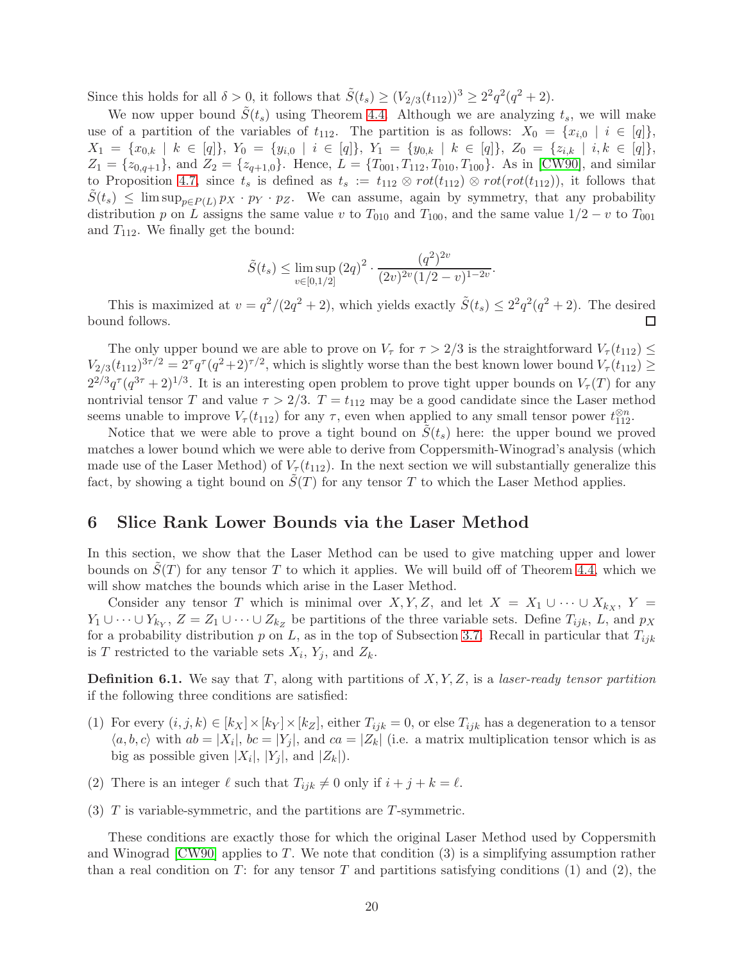Since this holds for all  $\delta > 0$ , it follows that  $\tilde{S}(t_s) \geq (V_{2/3}(t_{112}))^3 \geq 2^2 q^2 (q^2 + 2)$ .

We now upper bound  $\tilde{S}(t_s)$  using Theorem [4.4.](#page-13-0) Although we are analyzing  $t_s$ , we will make use of a partition of the variables of  $t_{112}$ . The partition is as follows:  $X_0 = \{x_{i,0} \mid i \in [q]\},\$  $X_1 = \{x_{0,k} \mid k \in [q]\},\ Y_0 = \{y_{i,0} \mid i \in [q]\},\ Y_1 = \{y_{0,k} \mid k \in [q]\},\ Z_0 = \{z_{i,k} \mid i,k \in [q]\},\$  $Z_1 = \{z_{0,q+1}\}\$ , and  $Z_2 = \{z_{q+1,0}\}\$ . Hence,  $L = \{T_{001}, T_{112}, T_{010}, T_{100}\}\$ . As in [\[CW90\]](#page-23-1), and similar to Proposition [4.7,](#page-15-1) since  $t_s$  is defined as  $t_s := t_{112} \otimes rot(t_{112}) \otimes rot(rot(t_{112}))$ , it follows that  $S(t_s) \leq \limsup_{p \in P(L)} p_X \cdot p_Y \cdot p_Z$ . We can assume, again by symmetry, that any probability distribution p on L assigns the same value v to  $T_{010}$  and  $T_{100}$ , and the same value  $1/2 - v$  to  $T_{001}$ and  $T_{112}$ . We finally get the bound:

$$
\tilde{S}(t_s) \le \limsup_{v \in [0,1/2]} (2q)^2 \cdot \frac{(q^2)^{2v}}{(2v)^{2v}(1/2 - v)^{1-2v}}.
$$

This is maximized at  $v = q^2/(2q^2 + 2)$ , which yields exactly  $\tilde{S}(t_s) \leq 2^2q^2(q^2 + 2)$ . The desired bound follows.  $\Box$ 

The only upper bound we are able to prove on  $V_{\tau}$  for  $\tau > 2/3$  is the straightforward  $V_{\tau}(t_{112}) \leq$  $V_{2/3}(t_{112})^{3\tau/2} = 2^{\tau} q^{\tau} (q^2+2)^{\tau/2}$ , which is slightly worse than the best known lower bound  $V_{\tau}(t_{112}) \ge$  $2^{2/3}q^{\tau}(q^{3\tau}+2)^{1/3}$ . It is an interesting open problem to prove tight upper bounds on  $V_{\tau}(T)$  for any nontrivial tensor T and value  $\tau > 2/3$ .  $T = t_{112}$  may be a good candidate since the Laser method seems unable to improve  $V_\tau(t_{112})$  for any  $\tau$ , even when applied to any small tensor power  $t_{112}^{\otimes n}$ .

Notice that we were able to prove a tight bound on  $S(t<sub>s</sub>)$  here: the upper bound we proved matches a lower bound which we were able to derive from Coppersmith-Winograd's analysis (which made use of the Laser Method) of  $V_\tau(t_{112})$ . In the next section we will substantially generalize this fact, by showing a tight bound on  $S(T)$  for any tensor T to which the Laser Method applies.

# <span id="page-20-0"></span>6 Slice Rank Lower Bounds via the Laser Method

In this section, we show that the Laser Method can be used to give matching upper and lower bounds on  $S(T)$  for any tensor T to which it applies. We will build off of Theorem [4.4,](#page-13-0) which we will show matches the bounds which arise in the Laser Method.

Consider any tensor T which is minimal over X, Y, Z, and let  $X = X_1 \cup \cdots \cup X_{k_X}$ , Y =  $Y_1 \cup \cdots \cup Y_{k_Y}, Z = Z_1 \cup \cdots \cup Z_{k_Z}$  be partitions of the three variable sets. Define  $T_{ijk}, L$ , and  $p_X$ for a probability distribution p on L, as in the top of Subsection [3.7.](#page-12-1) Recall in particular that  $T_{ijk}$ is T restricted to the variable sets  $X_i$ ,  $Y_j$ , and  $Z_k$ .

<span id="page-20-1"></span>**Definition 6.1.** We say that T, along with partitions of  $X, Y, Z$ , is a laser-ready tensor partition if the following three conditions are satisfied:

- (1) For every  $(i, j, k) \in [k] \times [k] \times [k]$ , either  $T_{ijk} = 0$ , or else  $T_{ijk}$  has a degeneration to a tensor  $\langle a, b, c \rangle$  with  $ab = |X_i|$ ,  $bc = |Y_j|$ , and  $ca = |Z_k|$  (i.e. a matrix multiplication tensor which is as big as possible given  $|X_i|, |Y_j|$ , and  $|Z_k|$ ).
- (2) There is an integer  $\ell$  such that  $T_{ijk} \neq 0$  only if  $i + j + k = \ell$ .
- (3)  $T$  is variable-symmetric, and the partitions are  $T$ -symmetric.

These conditions are exactly those for which the original Laser Method used by Coppersmith and Winograd  $\text{[CW90]}$  applies to T. We note that condition (3) is a simplifying assumption rather than a real condition on T: for any tensor T and partitions satisfying conditions  $(1)$  and  $(2)$ , the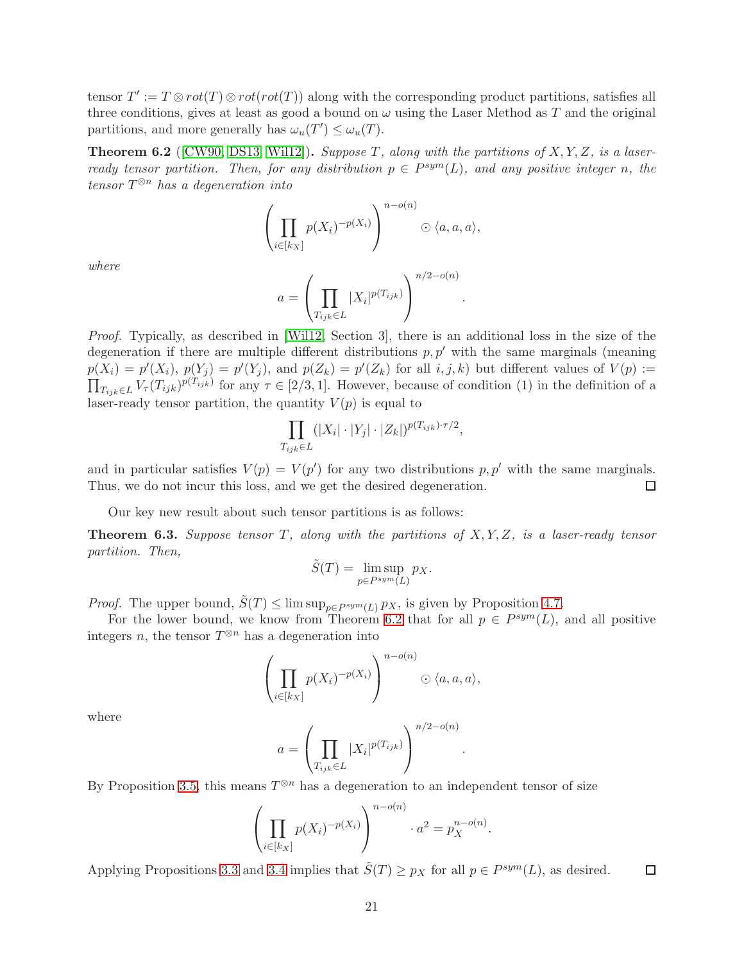tensor  $T' := T \otimes rot(T) \otimes rot(rot(T))$  along with the corresponding product partitions, satisfies all three conditions, gives at least as good a bound on  $\omega$  using the Laser Method as T and the original partitions, and more generally has  $\omega_u(T') \leq \omega_u(T)$ .

<span id="page-21-0"></span>**Theorem 6.2** ([\[CW90,](#page-23-1) [DS13,](#page-23-4) [Wil12\]](#page-24-1)). Suppose T, along with the partitions of  $X, Y, Z$ , is a laserready tensor partition. Then, for any distribution  $p \in P^{sym}(L)$ , and any positive integer n, the tensor  $T^{\otimes n}$  has a degeneration into

$$
\left(\prod_{i\in[k_X]}p(X_i)^{-p(X_i)}\right)^{n-o(n)}\odot\langle a,a,a\rangle,
$$

where

$$
a = \left(\prod_{T_{ijk} \in L} |X_i|^{p(T_{ijk})}\right)^{n/2 - o(n)}
$$

.

.

Proof. Typically, as described in [\[Wil12,](#page-24-1) Section 3], there is an additional loss in the size of the degeneration if there are multiple different distributions  $p, p'$  with the same marginals (meaning  $p(X_i) = p'(X_i)$ ,  $p(Y_j) = p'(Y_j)$ , and  $p(Z_k) = p'(Z_k)$  for all  $i, j, k$  but different values of  $V(p) :=$  $\prod_{T_{ijk}\in L} V_{\tau}(T_{ijk})^{p(T_{ijk})}$  for any  $\tau \in [2/3, 1]$ . However, because of condition (1) in the definition of a laser-ready tensor partition, the quantity  $V(p)$  is equal to

$$
\prod_{T_{ijk}\in L}(|X_i|\cdot|Y_j|\cdot|Z_k|)^{p(T_{ijk})\cdot\tau/2},
$$

and in particular satisfies  $V(p) = V(p')$  for any two distributions  $p, p'$  with the same marginals. Thus, we do not incur this loss, and we get the desired degeneration.  $\Box$ 

Our key new result about such tensor partitions is as follows:

<span id="page-21-1"></span>**Theorem 6.3.** Suppose tensor T, along with the partitions of  $X, Y, Z$ , is a laser-ready tensor partition. Then,

$$
\tilde{S}(T) = \limsup_{p \in P^{sym}(L)} p_X.
$$

*Proof.* The upper bound,  $\tilde{S}(T) \le \limsup_{p \in P^{sym}(L)} p_X$ , is given by Proposition [4.7.](#page-15-1)

For the lower bound, we know from Theorem [6.2](#page-21-0) that for all  $p \in P^{sym}(L)$ , and all positive integers n, the tensor  $T^{\otimes n}$  has a degeneration into

$$
\left(\prod_{i\in[k_X]}p(X_i)^{-p(X_i)}\right)^{n-o(n)}\odot\langle a,a,a\rangle,
$$

where

$$
a = \left(\prod_{T_{ijk} \in L} |X_i|^{p(T_{ijk})}\right)^{n/2 - o(n)}
$$

By Proposition [3.5,](#page-10-2) this means  $T^{\otimes n}$  has a degeneration to an independent tensor of size

$$
\left(\prod_{i \in [k_X]} p(X_i)^{-p(X_i)}\right)^{n - o(n)} \cdot a^2 = p_X^{n - o(n)}.
$$

Applying Propositions [3.3](#page-10-0) and [3.4](#page-10-1) implies that  $\tilde{S}(T) \ge p_X$  for all  $p \in P^{sym}(L)$ , as desired.  $\Box$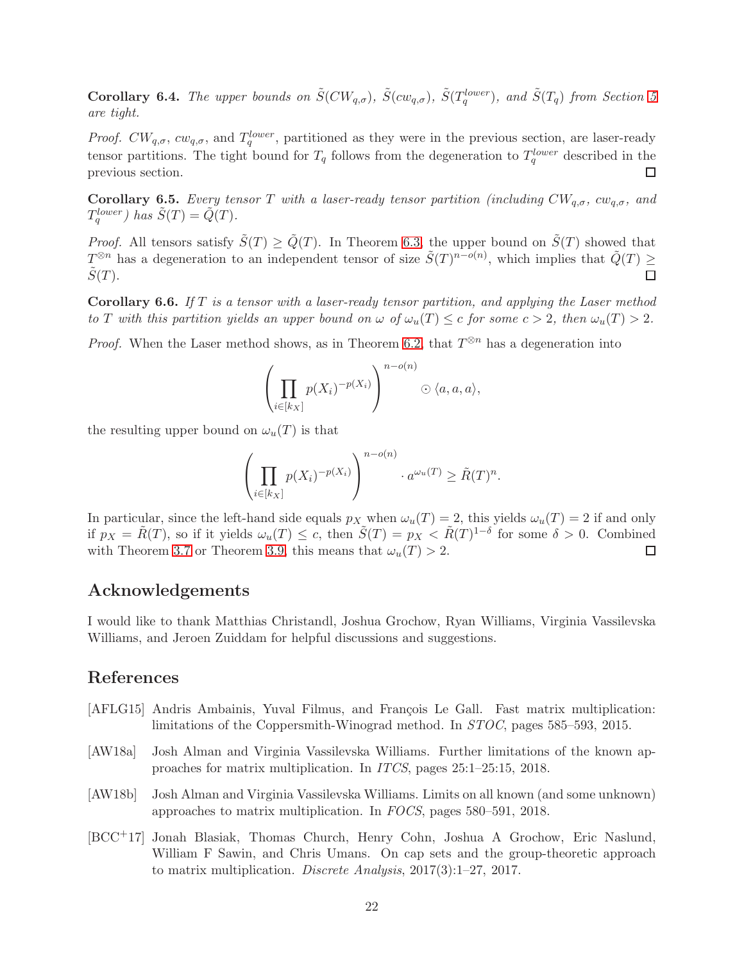**Corollary 6.4.** The upper bounds on  $\tilde{S}(CW_{q,\sigma})$ ,  $\tilde{S}(cw_{q,\sigma})$ ,  $\tilde{S}(T_q^{lower})$ , and  $\tilde{S}(T_q)$  from Section [5](#page-16-0) are tight.

*Proof.*  $CW_{q,\sigma}$ ,  $cw_{q,\sigma}$ , and  $T_q^{lower}$ , partitioned as they were in the previous section, are laser-ready tensor partitions. The tight bound for  $T_q$  follows from the degeneration to  $T_q^{lower}$  described in the previous section.  $\Box$ 

<span id="page-22-4"></span>**Corollary 6.5.** Every tensor T with a laser-ready tensor partition (including  $CW_{q,\sigma}$ ,  $cw_{q,\sigma}$ , and  $T_q^{lower}$ ) has  $\tilde{S}(T) = \tilde{Q}(T)$ .

*Proof.* All tensors satisfy  $\tilde{S}(T) \ge \tilde{Q}(T)$ . In Theorem [6.3,](#page-21-1) the upper bound on  $\tilde{S}(T)$  showed that  $T^{\otimes n}$  has a degeneration to an independent tensor of size  $\tilde{S}(T)^{n-o(n)}$ , which implies that  $\tilde{Q}(T)$  ≥  $S(T)$ .  $\Box$ 

**Corollary 6.6.** If T is a tensor with a laser-ready tensor partition, and applying the Laser method to T with this partition yields an upper bound on  $\omega$  of  $\omega_u(T) \leq c$  for some  $c > 2$ , then  $\omega_u(T) > 2$ .

*Proof.* When the Laser method shows, as in Theorem [6.2,](#page-21-0) that  $T^{\otimes n}$  has a degeneration into

$$
\left(\prod_{i\in[k_X]}p(X_i)^{-p(X_i)}\right)^{n-o(n)}\odot\langle a,a,a\rangle,
$$

the resulting upper bound on  $\omega_u(T)$  is that

$$
\left(\prod_{i\in[k_X]} p(X_i)^{-p(X_i)}\right)^{n-o(n)} \cdot a^{\omega_u(T)} \ge \tilde{R}(T)^n.
$$

In particular, since the left-hand side equals  $p_X$  when  $\omega_u(T) = 2$ , this yields  $\omega_u(T) = 2$  if and only if  $p_X = \tilde{R}(T)$ , so if it yields  $\omega_u(T) \leq c$ , then  $\tilde{S}(T) = p_X < \tilde{R}(T)^{1-\delta}$  for some  $\delta > 0$ . Combined with Theorem [3.7](#page-11-1) or Theorem [3.9,](#page-11-0) this means that  $\omega_u(T) > 2$ . □

### Acknowledgements

I would like to thank Matthias Christandl, Joshua Grochow, Ryan Williams, Virginia Vassilevska Williams, and Jeroen Zuiddam for helpful discussions and suggestions.

# References

- <span id="page-22-2"></span>[AFLG15] Andris Ambainis, Yuval Filmus, and François Le Gall. Fast matrix multiplication: limitations of the Coppersmith-Winograd method. In STOC, pages 585–593, 2015.
- <span id="page-22-1"></span>[AW18a] Josh Alman and Virginia Vassilevska Williams. Further limitations of the known approaches for matrix multiplication. In ITCS, pages 25:1–25:15, 2018.
- <span id="page-22-0"></span>[AW18b] Josh Alman and Virginia Vassilevska Williams. Limits on all known (and some unknown) approaches to matrix multiplication. In FOCS, pages 580–591, 2018.
- <span id="page-22-3"></span>[BCC+17] Jonah Blasiak, Thomas Church, Henry Cohn, Joshua A Grochow, Eric Naslund, William F Sawin, and Chris Umans. On cap sets and the group-theoretic approach to matrix multiplication. Discrete Analysis, 2017(3):1–27, 2017.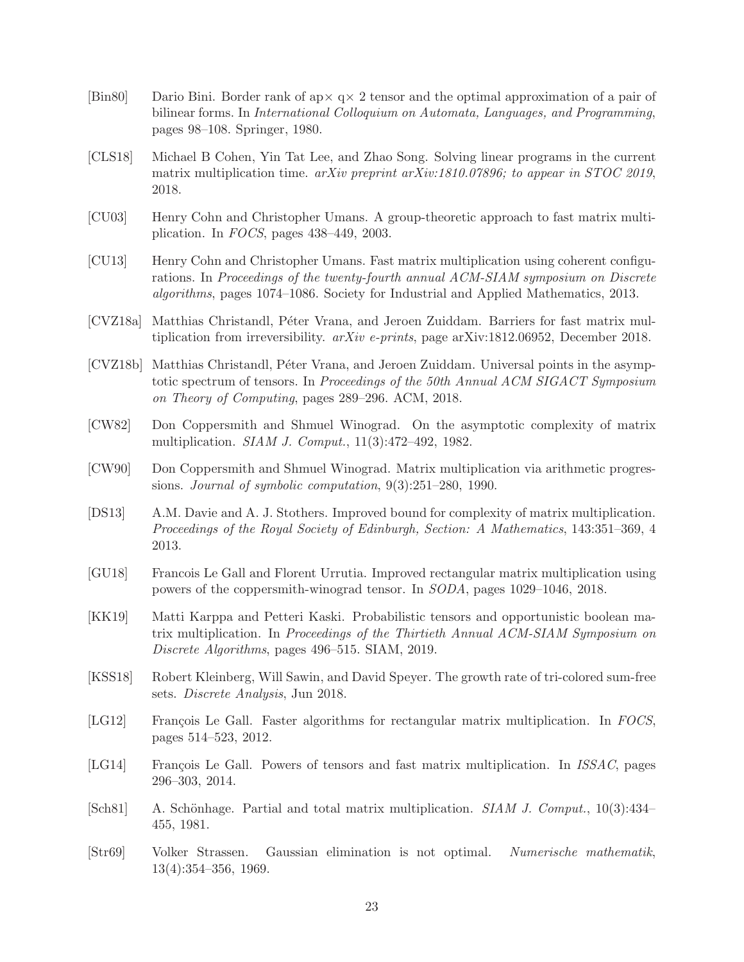- <span id="page-23-12"></span>[Bin80] Dario Bini. Border rank of ap $\times q \times 2$  tensor and the optimal approximation of a pair of bilinear forms. In International Colloquium on Automata, Languages, and Programming, pages 98–108. Springer, 1980.
- <span id="page-23-7"></span>[CLS18] Michael B Cohen, Yin Tat Lee, and Zhao Song. Solving linear programs in the current matrix multiplication time. arXiv preprint arXiv:1810.07896; to appear in STOC 2019, 2018.
- <span id="page-23-0"></span>[CU03] Henry Cohn and Christopher Umans. A group-theoretic approach to fast matrix multiplication. In FOCS, pages 438–449, 2003.
- <span id="page-23-9"></span>[CU13] Henry Cohn and Christopher Umans. Fast matrix multiplication using coherent configurations. In Proceedings of the twenty-fourth annual ACM-SIAM symposium on Discrete algorithms, pages 1074–1086. Society for Industrial and Applied Mathematics, 2013.
- <span id="page-23-11"></span>[CVZ18a] Matthias Christandl, Péter Vrana, and Jeroen Zuiddam. Barriers for fast matrix multiplication from irreversibility.  $arXiv$  e-prints, page arXiv:1812.06952, December 2018.
- <span id="page-23-15"></span>[CVZ18b] Matthias Christandl, Péter Vrana, and Jeroen Zuiddam. Universal points in the asymptotic spectrum of tensors. In Proceedings of the 50th Annual ACM SIGACT Symposium on Theory of Computing, pages 289–296. ACM, 2018.
- <span id="page-23-14"></span>[CW82] Don Coppersmith and Shmuel Winograd. On the asymptotic complexity of matrix multiplication. SIAM J. Comput., 11(3):472–492, 1982.
- <span id="page-23-1"></span>[CW90] Don Coppersmith and Shmuel Winograd. Matrix multiplication via arithmetic progressions. Journal of symbolic computation, 9(3):251–280, 1990.
- <span id="page-23-4"></span>[DS13] A.M. Davie and A. J. Stothers. Improved bound for complexity of matrix multiplication. Proceedings of the Royal Society of Edinburgh, Section: A Mathematics, 143:351–369, 4 2013.
- <span id="page-23-6"></span>[GU18] Francois Le Gall and Florent Urrutia. Improved rectangular matrix multiplication using powers of the coppersmith-winograd tensor. In SODA, pages 1029–1046, 2018.
- <span id="page-23-10"></span>[KK19] Matti Karppa and Petteri Kaski. Probabilistic tensors and opportunistic boolean matrix multiplication. In Proceedings of the Thirtieth Annual ACM-SIAM Symposium on Discrete Algorithms, pages 496–515. SIAM, 2019.
- <span id="page-23-8"></span>[KSS18] Robert Kleinberg, Will Sawin, and David Speyer. The growth rate of tri-colored sum-free sets. Discrete Analysis, Jun 2018.
- <span id="page-23-5"></span>[LG12] François Le Gall. Faster algorithms for rectangular matrix multiplication. In FOCS, pages 514–523, 2012.
- <span id="page-23-3"></span>[LG14] François Le Gall. Powers of tensors and fast matrix multiplication. In *ISSAC*, pages 296–303, 2014.
- <span id="page-23-13"></span>[Sch81] A. Schönhage. Partial and total matrix multiplication. SIAM J. Comput., 10(3):434– 455, 1981.
- <span id="page-23-2"></span>[Str69] Volker Strassen. Gaussian elimination is not optimal. Numerische mathematik, 13(4):354–356, 1969.